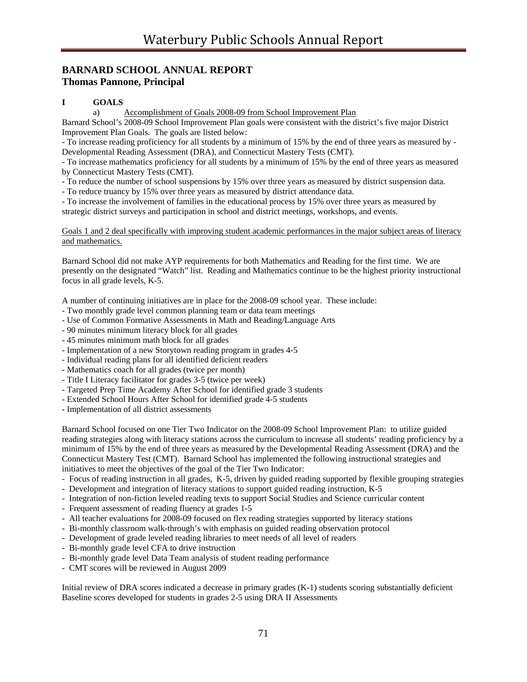# **BARNARD SCHOOL ANNUAL REPORT Thomas Pannone, Principal**

# **I GOALS**

a) Accomplishment of Goals 2008-09 from School Improvement Plan

Barnard School's 2008-09 School Improvement Plan goals were consistent with the district's five major District Improvement Plan Goals. The goals are listed below:

- To increase reading proficiency for all students by a minimum of 15% by the end of three years as measured by - Developmental Reading Assessment (DRA), and Connecticut Mastery Tests (CMT).

- To increase mathematics proficiency for all students by a minimum of 15% by the end of three years as measured by Connecticut Mastery Tests (CMT).

- To reduce the number of school suspensions by 15% over three years as measured by district suspension data.

- To reduce truancy by 15% over three years as measured by district attendance data.

- To increase the involvement of families in the educational process by 15% over three years as measured by strategic district surveys and participation in school and district meetings, workshops, and events.

Goals 1 and 2 deal specifically with improving student academic performances in the major subject areas of literacy and mathematics.

Barnard School did not make AYP requirements for both Mathematics and Reading for the first time. We are presently on the designated "Watch" list. Reading and Mathematics continue to be the highest priority instructional focus in all grade levels, K-5.

A number of continuing initiatives are in place for the 2008-09 school year. These include:

- Two monthly grade level common planning team or data team meetings
- Use of Common Formative Assessments in Math and Reading/Language Arts
- 90 minutes minimum literacy block for all grades
- 45 minutes minimum math block for all grades
- Implementation of a new Storytown reading program in grades 4-5
- Individual reading plans for all identified deficient readers
- Mathematics coach for all grades (twice per month)
- Title I Literacy facilitator for grades 3-5 (twice per week)
- Targeted Prep Time Academy After School for identified grade 3 students
- Extended School Hours After School for identified grade 4-5 students
- Implementation of all district assessments

Barnard School focused on one Tier Two Indicator on the 2008-09 School Improvement Plan: to utilize guided reading strategies along with literacy stations across the curriculum to increase all students' reading proficiency by a minimum of 15% by the end of three years as measured by the Developmental Reading Assessment (DRA) and the Connecticut Mastery Test (CMT). Barnard School has implemented the following instructional strategies and initiatives to meet the objectives of the goal of the Tier Two Indicator:

- Focus of reading instruction in all grades, K-5, driven by guided reading supported by flexible grouping strategies
- Development and integration of literacy stations to support guided reading instruction, K-5
- Integration of non-fiction leveled reading texts to support Social Studies and Science curricular content
- Frequent assessment of reading fluency at grades 1-5
- All teacher evaluations for 2008-09 focused on flex reading strategies supported by literacy stations
- Bi-monthly classroom walk-through's with emphasis on guided reading observation protocol
- Development of grade leveled reading libraries to meet needs of all level of readers
- Bi-monthly grade level CFA to drive instruction
- Bi-monthly grade level Data Team analysis of student reading performance
- CMT scores will be reviewed in August 2009

Initial review of DRA scores indicated a decrease in primary grades (K-1) students scoring substantially deficient Baseline scores developed for students in grades 2-5 using DRA II Assessments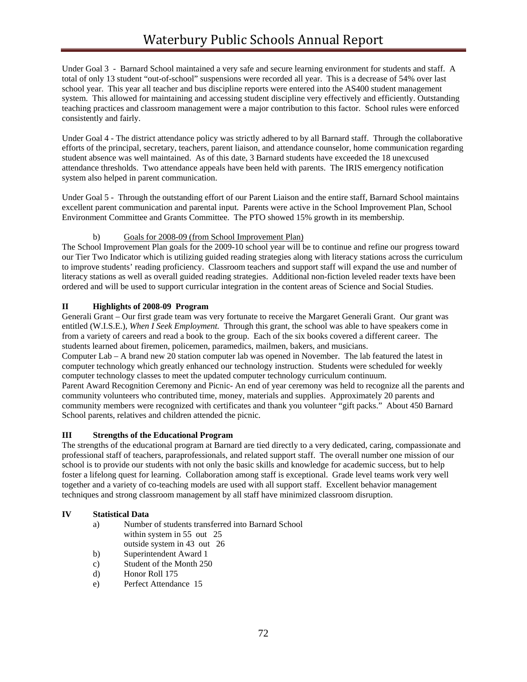Under Goal 3 - Barnard School maintained a very safe and secure learning environment for students and staff. A total of only 13 student "out-of-school" suspensions were recorded all year. This is a decrease of 54% over last school year. This year all teacher and bus discipline reports were entered into the AS400 student management system. This allowed for maintaining and accessing student discipline very effectively and efficiently. Outstanding teaching practices and classroom management were a major contribution to this factor. School rules were enforced consistently and fairly.

Under Goal 4 - The district attendance policy was strictly adhered to by all Barnard staff. Through the collaborative efforts of the principal, secretary, teachers, parent liaison, and attendance counselor, home communication regarding student absence was well maintained. As of this date, 3 Barnard students have exceeded the 18 unexcused attendance thresholds. Two attendance appeals have been held with parents. The IRIS emergency notification system also helped in parent communication.

Under Goal 5 - Through the outstanding effort of our Parent Liaison and the entire staff, Barnard School maintains excellent parent communication and parental input. Parents were active in the School Improvement Plan, School Environment Committee and Grants Committee. The PTO showed 15% growth in its membership.

# b) Goals for 2008-09 (from School Improvement Plan)

The School Improvement Plan goals for the 2009-10 school year will be to continue and refine our progress toward our Tier Two Indicator which is utilizing guided reading strategies along with literacy stations across the curriculum to improve students' reading proficiency. Classroom teachers and support staff will expand the use and number of literacy stations as well as overall guided reading strategies. Additional non-fiction leveled reader texts have been ordered and will be used to support curricular integration in the content areas of Science and Social Studies.

# **II Highlights of 2008-09 Program**

Generali Grant – Our first grade team was very fortunate to receive the Margaret Generali Grant. Our grant was entitled (W.I.S.E.), *When I Seek Employment*. Through this grant, the school was able to have speakers come in from a variety of careers and read a book to the group. Each of the six books covered a different career. The students learned about firemen, policemen, paramedics, mailmen, bakers, and musicians.

Computer Lab – A brand new 20 station computer lab was opened in November. The lab featured the latest in computer technology which greatly enhanced our technology instruction. Students were scheduled for weekly computer technology classes to meet the updated computer technology curriculum continuum.

Parent Award Recognition Ceremony and Picnic- An end of year ceremony was held to recognize all the parents and community volunteers who contributed time, money, materials and supplies. Approximately 20 parents and community members were recognized with certificates and thank you volunteer "gift packs." About 450 Barnard School parents, relatives and children attended the picnic.

# **III Strengths of the Educational Program**

The strengths of the educational program at Barnard are tied directly to a very dedicated, caring, compassionate and professional staff of teachers, paraprofessionals, and related support staff. The overall number one mission of our school is to provide our students with not only the basic skills and knowledge for academic success, but to help foster a lifelong quest for learning. Collaboration among staff is exceptional. Grade level teams work very well together and a variety of co-teaching models are used with all support staff. Excellent behavior management techniques and strong classroom management by all staff have minimized classroom disruption.

# **IV Statistical Data**

- a) Number of students transferred into Barnard School within system in 55 out 25 outside system in 43 out 26
- b) Superintendent Award 1
- c) Student of the Month 250
- d) Honor Roll 175
- e) Perfect Attendance 15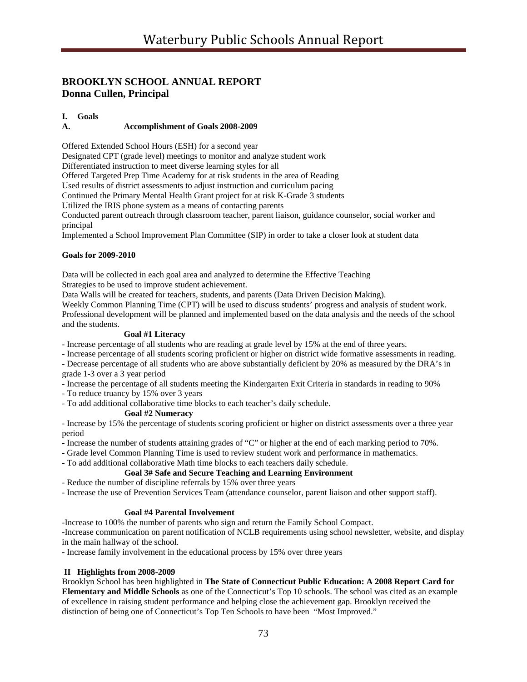# **BROOKLYN SCHOOL ANNUAL REPORT Donna Cullen, Principal**

# **I. Goals**

# **A. Accomplishment of Goals 2008-2009**

Offered Extended School Hours (ESH) for a second year

Designated CPT (grade level) meetings to monitor and analyze student work

Differentiated instruction to meet diverse learning styles for all

Offered Targeted Prep Time Academy for at risk students in the area of Reading

Used results of district assessments to adjust instruction and curriculum pacing

Continued the Primary Mental Health Grant project for at risk K-Grade 3 students

Utilized the IRIS phone system as a means of contacting parents

Conducted parent outreach through classroom teacher, parent liaison, guidance counselor, social worker and principal

Implemented a School Improvement Plan Committee (SIP) in order to take a closer look at student data

#### **Goals for 2009-2010**

Data will be collected in each goal area and analyzed to determine the Effective Teaching Strategies to be used to improve student achievement.

Data Walls will be created for teachers, students, and parents (Data Driven Decision Making).

Weekly Common Planning Time (CPT) will be used to discuss students' progress and analysis of student work. Professional development will be planned and implemented based on the data analysis and the needs of the school and the students.

## **Goal #1 Literacy**

- Increase percentage of all students who are reading at grade level by 15% at the end of three years.

- Increase percentage of all students scoring proficient or higher on district wide formative assessments in reading.

- Decrease percentage of all students who are above substantially deficient by 20% as measured by the DRA's in grade 1-3 over a 3 year period

- Increase the percentage of all students meeting the Kindergarten Exit Criteria in standards in reading to 90%

- To reduce truancy by 15% over 3 years
- To add additional collaborative time blocks to each teacher's daily schedule.

#### **Goal #2 Numeracy**

- Increase by 15% the percentage of students scoring proficient or higher on district assessments over a three year period

- Increase the number of students attaining grades of "C" or higher at the end of each marking period to 70%.

- Grade level Common Planning Time is used to review student work and performance in mathematics.

- To add additional collaborative Math time blocks to each teachers daily schedule.

#### **Goal 3# Safe and Secure Teaching and Learning Environment**

- Reduce the number of discipline referrals by 15% over three years

- Increase the use of Prevention Services Team (attendance counselor, parent liaison and other support staff).

#### **Goal #4 Parental Involvement**

-Increase to 100% the number of parents who sign and return the Family School Compact.

-Increase communication on parent notification of NCLB requirements using school newsletter, website, and display in the main hallway of the school.

- Increase family involvement in the educational process by 15% over three years

#### **II Highlights from 2008-2009**

Brooklyn School has been highlighted in **The State of Connecticut Public Education: A 2008 Report Card for Elementary and Middle Schools** as one of the Connecticut's Top 10 schools. The school was cited as an example of excellence in raising student performance and helping close the achievement gap. Brooklyn received the distinction of being one of Connecticut's Top Ten Schools to have been "Most Improved."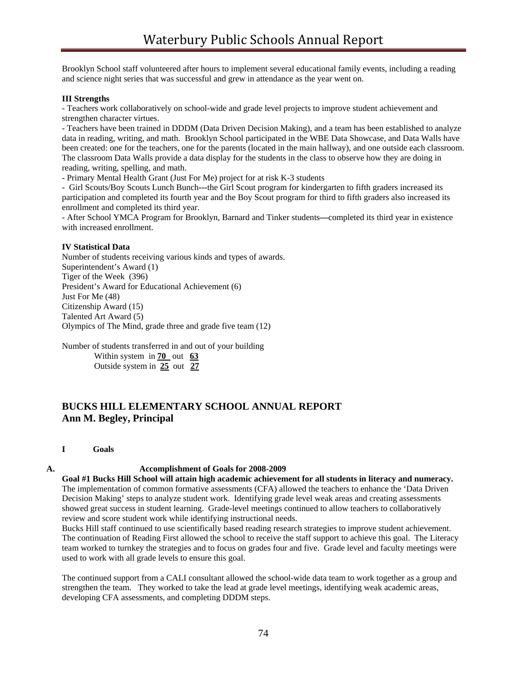Brooklyn School staff volunteered after hours to implement several educational family events, including a reading and science night series that was successful and grew in attendance as the year went on.

#### **III Strengths**

- Teachers work collaboratively on school-wide and grade level projects to improve student achievement and strengthen character virtues.

- Teachers have been trained in DDDM (Data Driven Decision Making), and a team has been established to analyze data in reading, writing, and math. Brooklyn School participated in the WBE Data Showcase, and Data Walls have been created: one for the teachers, one for the parents (located in the main hallway), and one outside each classroom. The classroom Data Walls provide a data display for the students in the class to observe how they are doing in reading, writing, spelling, and math.

- Primary Mental Health Grant (Just For Me) project for at risk K-3 students

- Girl Scouts/Boy Scouts Lunch Bunch**---**the Girl Scout program for kindergarten to fifth graders increased its participation and completed its fourth year and the Boy Scout program for third to fifth graders also increased its enrollment and completed its third year.

- After School YMCA Program for Brooklyn, Barnard and Tinker students**—**completed its third year in existence with increased enrollment.

# **IV Statistical Data**

Number of students receiving various kinds and types of awards. Superintendent's Award (1) Tiger of the Week (396) President's Award for Educational Achievement (6) Just For Me (48) Citizenship Award (15) Talented Art Award (5) Olympics of The Mind, grade three and grade five team (12)

Number of students transferred in and out of your building

 Within system in **70** out **63** Outside system in **25** out **27**

# **BUCKS HILL ELEMENTARY SCHOOL ANNUAL REPORT Ann M. Begley, Principal**

**I Goals**

#### **A. Accomplishment of Goals for 2008-2009**

**Goal #1 Bucks Hill School will attain high academic achievement for all students in literacy and numeracy.**  The implementation of common formative assessments (CFA) allowed the teachers to enhance the 'Data Driven Decision Making' steps to analyze student work. Identifying grade level weak areas and creating assessments showed great success in student learning. Grade-level meetings continued to allow teachers to collaboratively review and score student work while identifying instructional needs.

Bucks Hill staff continued to use scientifically based reading research strategies to improve student achievement. The continuation of Reading First allowed the school to receive the staff support to achieve this goal. The Literacy team worked to turnkey the strategies and to focus on grades four and five. Grade level and faculty meetings were used to work with all grade levels to ensure this goal.

The continued support from a CALI consultant allowed the school-wide data team to work together as a group and strengthen the team. They worked to take the lead at grade level meetings, identifying weak academic areas, developing CFA assessments, and completing DDDM steps.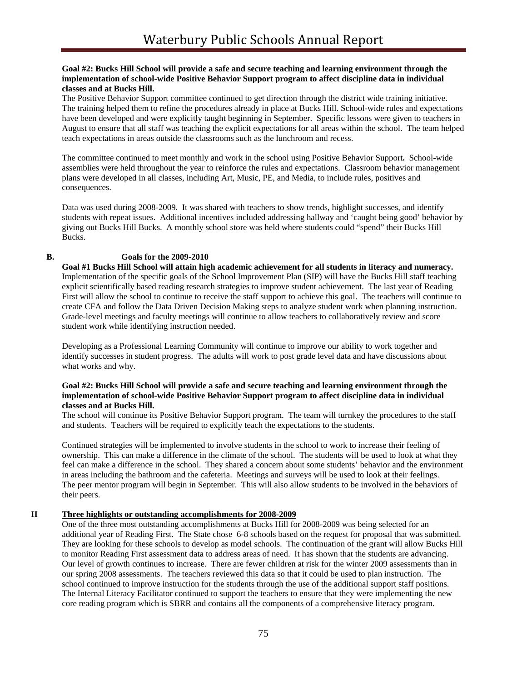#### **Goal #2: Bucks Hill School will provide a safe and secure teaching and learning environment through the implementation of school-wide Positive Behavior Support program to affect discipline data in individual classes and at Bucks Hill.**

The Positive Behavior Support committee continued to get direction through the district wide training initiative. The training helped them to refine the procedures already in place at Bucks Hill. School-wide rules and expectations have been developed and were explicitly taught beginning in September. Specific lessons were given to teachers in August to ensure that all staff was teaching the explicit expectations for all areas within the school. The team helped teach expectations in areas outside the classrooms such as the lunchroom and recess.

The committee continued to meet monthly and work in the school using Positive Behavior Support**.** School-wide assemblies were held throughout the year to reinforce the rules and expectations. Classroom behavior management plans were developed in all classes, including Art, Music, PE, and Media, to include rules, positives and consequences.

Data was used during 2008-2009. It was shared with teachers to show trends, highlight successes, and identify students with repeat issues. Additional incentives included addressing hallway and 'caught being good' behavior by giving out Bucks Hill Bucks. A monthly school store was held where students could "spend" their Bucks Hill Bucks.

## **B. Goals for the 2009-2010**

**Goal #1 Bucks Hill School will attain high academic achievement for all students in literacy and numeracy.**  Implementation of the specific goals of the School Improvement Plan (SIP) will have the Bucks Hill staff teaching explicit scientifically based reading research strategies to improve student achievement. The last year of Reading First will allow the school to continue to receive the staff support to achieve this goal. The teachers will continue to create CFA and follow the Data Driven Decision Making steps to analyze student work when planning instruction. Grade-level meetings and faculty meetings will continue to allow teachers to collaboratively review and score student work while identifying instruction needed.

Developing as a Professional Learning Community will continue to improve our ability to work together and identify successes in student progress. The adults will work to post grade level data and have discussions about what works and why.

#### **Goal #2: Bucks Hill School will provide a safe and secure teaching and learning environment through the implementation of school-wide Positive Behavior Support program to affect discipline data in individual classes and at Bucks Hill.**

The school will continue its Positive Behavior Support program. The team will turnkey the procedures to the staff and students. Teachers will be required to explicitly teach the expectations to the students.

Continued strategies will be implemented to involve students in the school to work to increase their feeling of ownership. This can make a difference in the climate of the school. The students will be used to look at what they feel can make a difference in the school. They shared a concern about some students' behavior and the environment in areas including the bathroom and the cafeteria. Meetings and surveys will be used to look at their feelings. The peer mentor program will begin in September. This will also allow students to be involved in the behaviors of their peers.

# **II Three highlights or outstanding accomplishments for 2008-2009**

One of the three most outstanding accomplishments at Bucks Hill for 2008-2009 was being selected for an additional year of Reading First. The State chose 6-8 schools based on the request for proposal that was submitted. They are looking for these schools to develop as model schools. The continuation of the grant will allow Bucks Hill to monitor Reading First assessment data to address areas of need. It has shown that the students are advancing. Our level of growth continues to increase. There are fewer children at risk for the winter 2009 assessments than in our spring 2008 assessments. The teachers reviewed this data so that it could be used to plan instruction. The school continued to improve instruction for the students through the use of the additional support staff positions. The Internal Literacy Facilitator continued to support the teachers to ensure that they were implementing the new core reading program which is SBRR and contains all the components of a comprehensive literacy program.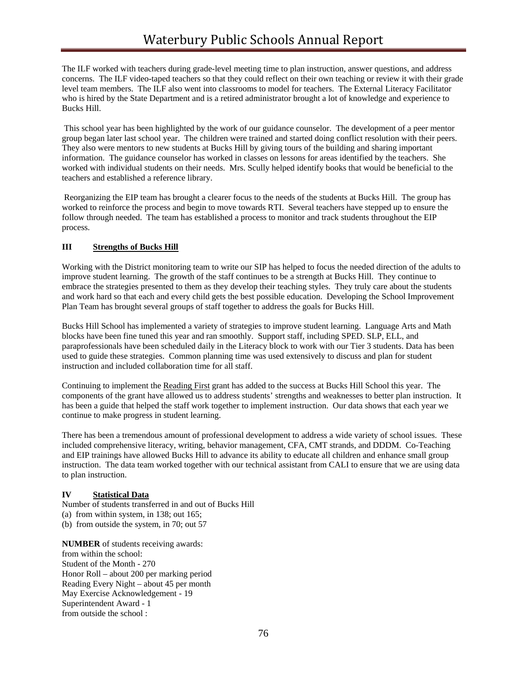The ILF worked with teachers during grade-level meeting time to plan instruction, answer questions, and address concerns. The ILF video-taped teachers so that they could reflect on their own teaching or review it with their grade level team members. The ILF also went into classrooms to model for teachers. The External Literacy Facilitator who is hired by the State Department and is a retired administrator brought a lot of knowledge and experience to Bucks Hill.

 This school year has been highlighted by the work of our guidance counselor. The development of a peer mentor group began later last school year. The children were trained and started doing conflict resolution with their peers. They also were mentors to new students at Bucks Hill by giving tours of the building and sharing important information. The guidance counselor has worked in classes on lessons for areas identified by the teachers. She worked with individual students on their needs. Mrs. Scully helped identify books that would be beneficial to the teachers and established a reference library.

 Reorganizing the EIP team has brought a clearer focus to the needs of the students at Bucks Hill. The group has worked to reinforce the process and begin to move towards RTI. Several teachers have stepped up to ensure the follow through needed. The team has established a process to monitor and track students throughout the EIP process.

# **III Strengths of Bucks Hill**

Working with the District monitoring team to write our SIP has helped to focus the needed direction of the adults to improve student learning. The growth of the staff continues to be a strength at Bucks Hill. They continue to embrace the strategies presented to them as they develop their teaching styles. They truly care about the students and work hard so that each and every child gets the best possible education. Developing the School Improvement Plan Team has brought several groups of staff together to address the goals for Bucks Hill.

Bucks Hill School has implemented a variety of strategies to improve student learning. Language Arts and Math blocks have been fine tuned this year and ran smoothly. Support staff, including SPED. SLP, ELL, and paraprofessionals have been scheduled daily in the Literacy block to work with our Tier 3 students. Data has been used to guide these strategies. Common planning time was used extensively to discuss and plan for student instruction and included collaboration time for all staff.

Continuing to implement the Reading First grant has added to the success at Bucks Hill School this year. The components of the grant have allowed us to address students' strengths and weaknesses to better plan instruction. It has been a guide that helped the staff work together to implement instruction. Our data shows that each year we continue to make progress in student learning.

There has been a tremendous amount of professional development to address a wide variety of school issues. These included comprehensive literacy, writing, behavior management, CFA, CMT strands, and DDDM. Co-Teaching and EIP trainings have allowed Bucks Hill to advance its ability to educate all children and enhance small group instruction. The data team worked together with our technical assistant from CALI to ensure that we are using data to plan instruction.

# **IV Statistical Data**

Number of students transferred in and out of Bucks Hill (a) from within system, in 138; out 165;

(b) from outside the system, in 70; out 57

**NUMBER** of students receiving awards: from within the school: Student of the Month - 270 Honor Roll – about 200 per marking period Reading Every Night – about 45 per month May Exercise Acknowledgement - 19 Superintendent Award - 1 from outside the school :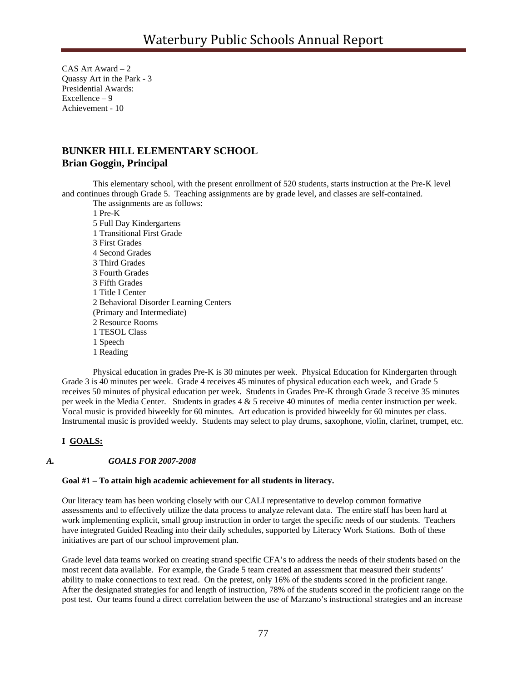CAS Art Award – 2 Quassy Art in the Park - 3 Presidential Awards: Excellence – 9 Achievement - 10

# **BUNKER HILL ELEMENTARY SCHOOL Brian Goggin, Principal**

This elementary school, with the present enrollment of 520 students, starts instruction at the Pre-K level and continues through Grade 5. Teaching assignments are by grade level, and classes are self-contained. The assignments are as follows:

 1 Pre-K 5 Full Day Kindergartens 1 Transitional First Grade 3 First Grades 4 Second Grades 3 Third Grades 3 Fourth Grades 3 Fifth Grades 1 Title I Center 2 Behavioral Disorder Learning Centers (Primary and Intermediate) 2 Resource Rooms 1 TESOL Class 1 Speech 1 Reading

 Physical education in grades Pre-K is 30 minutes per week. Physical Education for Kindergarten through Grade 3 is 40 minutes per week. Grade 4 receives 45 minutes of physical education each week, and Grade 5 receives 50 minutes of physical education per week. Students in Grades Pre-K through Grade 3 receive 35 minutes per week in the Media Center. Students in grades 4 & 5 receive 40 minutes of media center instruction per week. Vocal music is provided biweekly for 60 minutes. Art education is provided biweekly for 60 minutes per class. Instrumental music is provided weekly. Students may select to play drums, saxophone, violin, clarinet, trumpet, etc.

#### **I GOALS:**

#### *A. GOALS FOR 2007-2008*

## **Goal #1 – To attain high academic achievement for all students in literacy.**

 Our literacy team has been working closely with our CALI representative to develop common formative assessments and to effectively utilize the data process to analyze relevant data. The entire staff has been hard at work implementing explicit, small group instruction in order to target the specific needs of our students. Teachers have integrated Guided Reading into their daily schedules, supported by Literacy Work Stations. Both of these initiatives are part of our school improvement plan.

Grade level data teams worked on creating strand specific CFA's to address the needs of their students based on the most recent data available. For example, the Grade 5 team created an assessment that measured their students' ability to make connections to text read. On the pretest, only 16% of the students scored in the proficient range. After the designated strategies for and length of instruction, 78% of the students scored in the proficient range on the post test. Our teams found a direct correlation between the use of Marzano's instructional strategies and an increase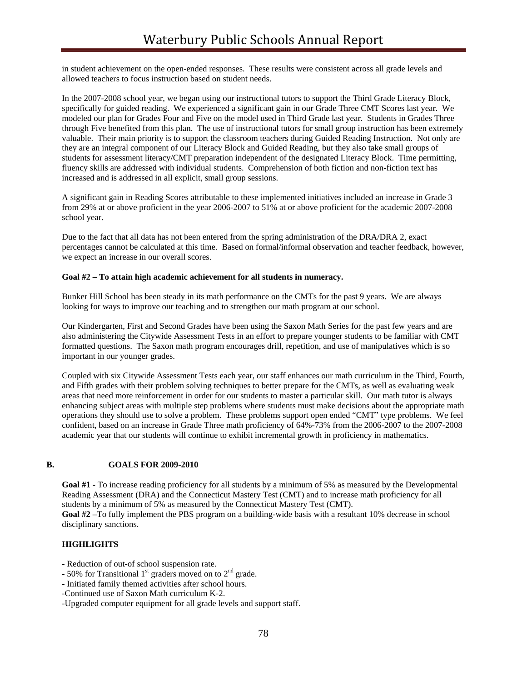in student achievement on the open-ended responses. These results were consistent across all grade levels and allowed teachers to focus instruction based on student needs.

In the 2007-2008 school year, we began using our instructional tutors to support the Third Grade Literacy Block, specifically for guided reading. We experienced a significant gain in our Grade Three CMT Scores last year. We modeled our plan for Grades Four and Five on the model used in Third Grade last year. Students in Grades Three through Five benefited from this plan. The use of instructional tutors for small group instruction has been extremely valuable. Their main priority is to support the classroom teachers during Guided Reading Instruction. Not only are they are an integral component of our Literacy Block and Guided Reading, but they also take small groups of students for assessment literacy/CMT preparation independent of the designated Literacy Block. Time permitting, fluency skills are addressed with individual students. Comprehension of both fiction and non-fiction text has increased and is addressed in all explicit, small group sessions.

A significant gain in Reading Scores attributable to these implemented initiatives included an increase in Grade 3 from 29% at or above proficient in the year 2006-2007 to 51% at or above proficient for the academic 2007-2008 school year.

Due to the fact that all data has not been entered from the spring administration of the DRA/DRA 2, exact percentages cannot be calculated at this time. Based on formal/informal observation and teacher feedback, however, we expect an increase in our overall scores.

#### **Goal #2 – To attain high academic achievement for all students in numeracy.**

Bunker Hill School has been steady in its math performance on the CMTs for the past 9 years. We are always looking for ways to improve our teaching and to strengthen our math program at our school.

Our Kindergarten, First and Second Grades have been using the Saxon Math Series for the past few years and are also administering the Citywide Assessment Tests in an effort to prepare younger students to be familiar with CMT formatted questions. The Saxon math program encourages drill, repetition, and use of manipulatives which is so important in our younger grades.

Coupled with six Citywide Assessment Tests each year, our staff enhances our math curriculum in the Third, Fourth, and Fifth grades with their problem solving techniques to better prepare for the CMTs, as well as evaluating weak areas that need more reinforcement in order for our students to master a particular skill. Our math tutor is always enhancing subject areas with multiple step problems where students must make decisions about the appropriate math operations they should use to solve a problem. These problems support open ended "CMT" type problems. We feel confident, based on an increase in Grade Three math proficiency of 64%-73% from the 2006-2007 to the 2007-2008 academic year that our students will continue to exhibit incremental growth in proficiency in mathematics.

#### **B. GOALS FOR 2009-2010**

Goal #1 - To increase reading proficiency for all students by a minimum of 5% as measured by the Developmental Reading Assessment (DRA) and the Connecticut Mastery Test (CMT) and to increase math proficiency for all students by a minimum of 5% as measured by the Connecticut Mastery Test (CMT). **Goal #2 –**To fully implement the PBS program on a building-wide basis with a resultant 10% decrease in school disciplinary sanctions.

#### **HIGHLIGHTS**

- Reduction of out-of school suspension rate.

- 50% for Transitional  $1<sup>st</sup>$  graders moved on to  $2<sup>nd</sup>$  grade.

- Initiated family themed activities after school hours.
- -Continued use of Saxon Math curriculum K-2.

-Upgraded computer equipment for all grade levels and support staff.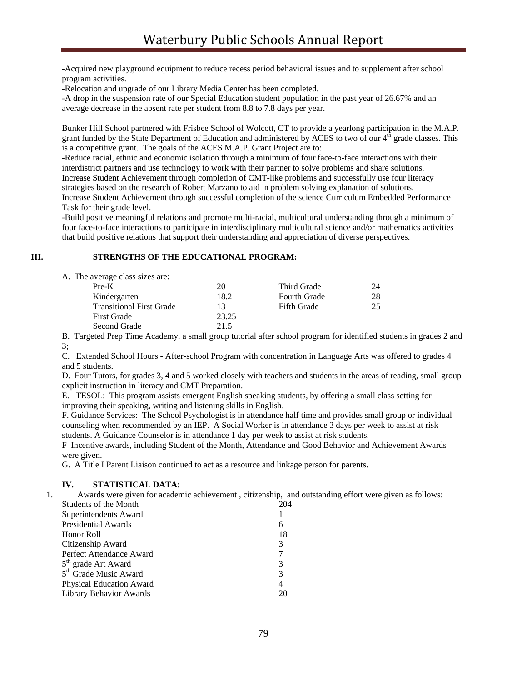-Acquired new playground equipment to reduce recess period behavioral issues and to supplement after school program activities.

-Relocation and upgrade of our Library Media Center has been completed.

-A drop in the suspension rate of our Special Education student population in the past year of 26.67% and an average decrease in the absent rate per student from 8.8 to 7.8 days per year.

Bunker Hill School partnered with Frisbee School of Wolcott, CT to provide a yearlong participation in the M.A.P. grant funded by the State Department of Education and administered by ACES to two of our  $4<sup>th</sup>$  grade classes. This is a competitive grant. The goals of the ACES M.A.P. Grant Project are to:

-Reduce racial, ethnic and economic isolation through a minimum of four face-to-face interactions with their interdistrict partners and use technology to work with their partner to solve problems and share solutions. Increase Student Achievement through completion of CMT-like problems and successfully use four literacy strategies based on the research of Robert Marzano to aid in problem solving explanation of solutions. Increase Student Achievement through successful completion of the science Curriculum Embedded Performance Task for their grade level.

-Build positive meaningful relations and promote multi-racial, multicultural understanding through a minimum of four face-to-face interactions to participate in interdisciplinary multicultural science and/or mathematics activities that build positive relations that support their understanding and appreciation of diverse perspectives.

# **III. STRENGTHS OF THE EDUCATIONAL PROGRAM:**

| A. The average class sizes are: |       |                     |    |
|---------------------------------|-------|---------------------|----|
| $Pre-K$                         | 20    | Third Grade         | 24 |
| Kindergarten                    | 18.2  | <b>Fourth Grade</b> | 28 |
| <b>Transitional First Grade</b> | 13    | <b>Fifth Grade</b>  | 25 |
| <b>First Grade</b>              | 23.25 |                     |    |
| Second Grade                    | 21.5  |                     |    |

 B. Targeted Prep Time Academy, a small group tutorial after school program for identified students in grades 2 and 3;

 C. Extended School Hours - After-school Program with concentration in Language Arts was offered to grades 4 and 5 students.

 D. Four Tutors, for grades 3, 4 and 5 worked closely with teachers and students in the areas of reading, small group explicit instruction in literacy and CMT Preparation.

 E. TESOL: This program assists emergent English speaking students, by offering a small class setting for improving their speaking, writing and listening skills in English.

 F. Guidance Services: The School Psychologist is in attendance half time and provides small group or individual counseling when recommended by an IEP. A Social Worker is in attendance 3 days per week to assist at risk students. A Guidance Counselor is in attendance 1 day per week to assist at risk students.

 F Incentive awards, including Student of the Month, Attendance and Good Behavior and Achievement Awards were given.

G. A Title I Parent Liaison continued to act as a resource and linkage person for parents.

#### **IV. STATISTICAL DATA**:

1. Awards were given for academic achievement , citizenship, and outstanding effort were given as follows:

| Students of the Month             | 204 |
|-----------------------------------|-----|
| Superintendents Award             |     |
| <b>Presidential Awards</b>        | 6   |
| Honor Roll                        | 18  |
| Citizenship Award                 | 3   |
| Perfect Attendance Award          |     |
| 5 <sup>th</sup> grade Art Award   | 3   |
| 5 <sup>th</sup> Grade Music Award | 3   |
| <b>Physical Education Award</b>   | 4   |
| <b>Library Behavior Awards</b>    |     |
|                                   |     |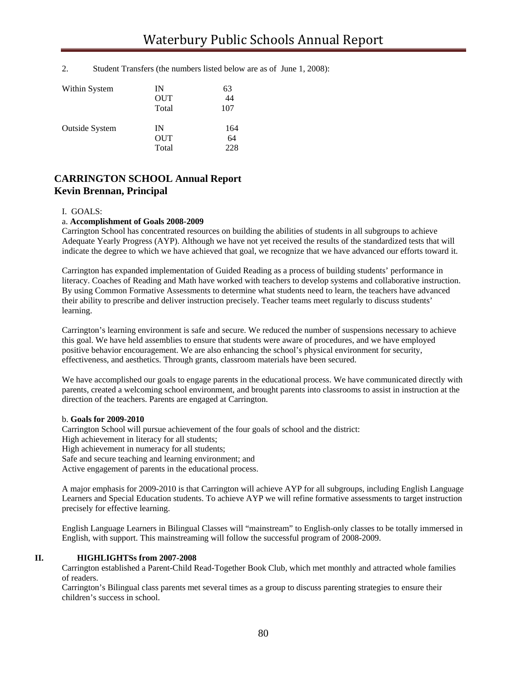2. Student Transfers (the numbers listed below are as of June 1, 2008):

| Within System         | IN    | 63  |
|-----------------------|-------|-----|
|                       | OUT   | 44  |
|                       | Total | 107 |
| <b>Outside System</b> | IN    | 164 |
|                       | OUT   | 64  |
|                       | Total | 228 |

# **CARRINGTON SCHOOL Annual Report Kevin Brennan, Principal**

#### I. GOALS:

#### a. **Accomplishment of Goals 2008-2009**

Carrington School has concentrated resources on building the abilities of students in all subgroups to achieve Adequate Yearly Progress (AYP). Although we have not yet received the results of the standardized tests that will indicate the degree to which we have achieved that goal, we recognize that we have advanced our efforts toward it.

Carrington has expanded implementation of Guided Reading as a process of building students' performance in literacy. Coaches of Reading and Math have worked with teachers to develop systems and collaborative instruction. By using Common Formative Assessments to determine what students need to learn, the teachers have advanced their ability to prescribe and deliver instruction precisely. Teacher teams meet regularly to discuss students' learning.

Carrington's learning environment is safe and secure. We reduced the number of suspensions necessary to achieve this goal. We have held assemblies to ensure that students were aware of procedures, and we have employed positive behavior encouragement. We are also enhancing the school's physical environment for security, effectiveness, and aesthetics. Through grants, classroom materials have been secured.

We have accomplished our goals to engage parents in the educational process. We have communicated directly with parents, created a welcoming school environment, and brought parents into classrooms to assist in instruction at the direction of the teachers. Parents are engaged at Carrington.

#### b. **Goals for 2009-2010**

Carrington School will pursue achievement of the four goals of school and the district: High achievement in literacy for all students; High achievement in numeracy for all students; Safe and secure teaching and learning environment; and Active engagement of parents in the educational process.

A major emphasis for 2009-2010 is that Carrington will achieve AYP for all subgroups, including English Language Learners and Special Education students. To achieve AYP we will refine formative assessments to target instruction precisely for effective learning.

English Language Learners in Bilingual Classes will "mainstream" to English-only classes to be totally immersed in English, with support. This mainstreaming will follow the successful program of 2008-2009.

#### **II. HIGHLIGHTSs from 2007-2008**

Carrington established a Parent-Child Read-Together Book Club, which met monthly and attracted whole families of readers.

Carrington's Bilingual class parents met several times as a group to discuss parenting strategies to ensure their children's success in school.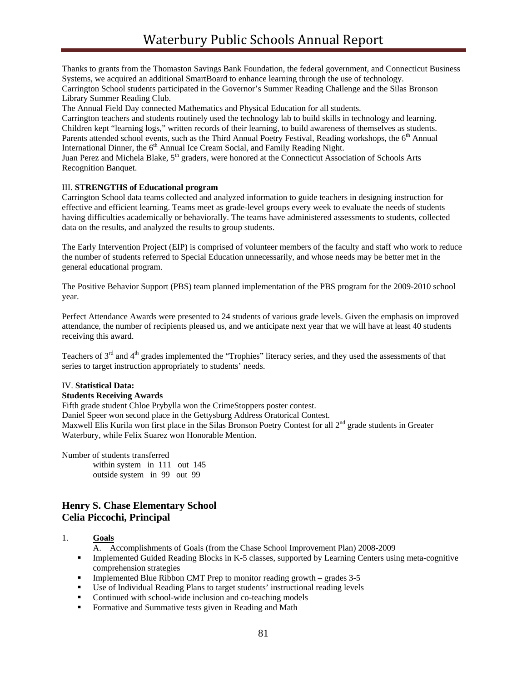Thanks to grants from the Thomaston Savings Bank Foundation, the federal government, and Connecticut Business Systems, we acquired an additional SmartBoard to enhance learning through the use of technology.

Carrington School students participated in the Governor's Summer Reading Challenge and the Silas Bronson Library Summer Reading Club.

The Annual Field Day connected Mathematics and Physical Education for all students.

Carrington teachers and students routinely used the technology lab to build skills in technology and learning. Children kept "learning logs," written records of their learning, to build awareness of themselves as students. Parents attended school events, such as the Third Annual Poetry Festival, Reading workshops, the 6<sup>th</sup> Annual International Dinner, the 6<sup>th</sup> Annual Ice Cream Social, and Family Reading Night.

Juan Perez and Michela Blake, 5<sup>th</sup> graders, were honored at the Connecticut Association of Schools Arts Recognition Banquet.

## III. **STRENGTHS of Educational program**

Carrington School data teams collected and analyzed information to guide teachers in designing instruction for effective and efficient learning. Teams meet as grade-level groups every week to evaluate the needs of students having difficulties academically or behaviorally. The teams have administered assessments to students, collected data on the results, and analyzed the results to group students.

The Early Intervention Project (EIP) is comprised of volunteer members of the faculty and staff who work to reduce the number of students referred to Special Education unnecessarily, and whose needs may be better met in the general educational program.

The Positive Behavior Support (PBS) team planned implementation of the PBS program for the 2009-2010 school year.

Perfect Attendance Awards were presented to 24 students of various grade levels. Given the emphasis on improved attendance, the number of recipients pleased us, and we anticipate next year that we will have at least 40 students receiving this award.

Teachers of 3<sup>rd</sup> and 4<sup>th</sup> grades implemented the "Trophies" literacy series, and they used the assessments of that series to target instruction appropriately to students' needs.

# IV. **Statistical Data:**

#### **Students Receiving Awards**

Fifth grade student Chloe Prybylla won the CrimeStoppers poster contest.

Daniel Speer won second place in the Gettysburg Address Oratorical Contest.

Maxwell Elis Kurila won first place in the Silas Bronson Poetry Contest for all 2<sup>nd</sup> grade students in Greater Waterbury, while Felix Suarez won Honorable Mention.

Number of students transferred

within system in  $111$  out  $145$ outside system in 99 out 99

# **Henry S. Chase Elementary School Celia Piccochi, Principal**

1. **Goals**

A. Accomplishments of Goals (from the Chase School Improvement Plan) 2008-2009

- **IMPLEM** Implemented Guided Reading Blocks in K-5 classes, supported by Learning Centers using meta-cognitive comprehension strategies
- Implemented Blue Ribbon CMT Prep to monitor reading growth grades 3-5
- Use of Individual Reading Plans to target students' instructional reading levels
- Continued with school-wide inclusion and co-teaching models
- Formative and Summative tests given in Reading and Math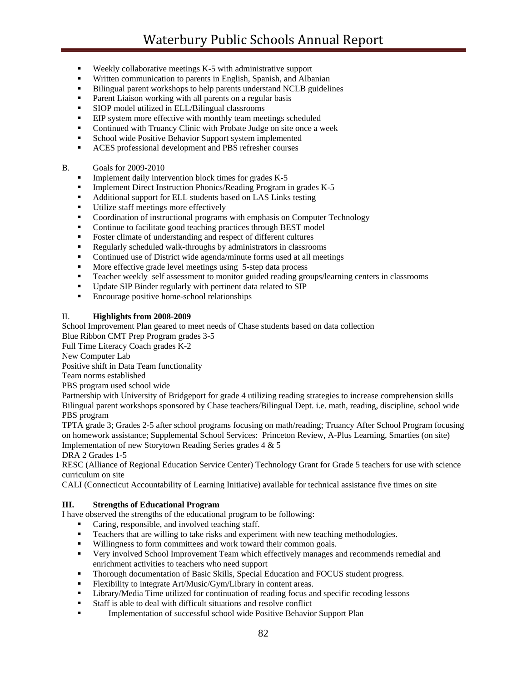- $\blacksquare$  Weekly collaborative meetings K-5 with administrative support
- Written communication to parents in English, Spanish, and Albanian
- Bilingual parent workshops to help parents understand NCLB guidelines
- Parent Liaison working with all parents on a regular basis
- SIOP model utilized in ELL/Bilingual classrooms
- **EIP** system more effective with monthly team meetings scheduled
- **•** Continued with Truancy Clinic with Probate Judge on site once a week
- **School wide Positive Behavior Support system implemented**
- **ACES** professional development and PBS refresher courses

#### B. Goals for 2009-2010

- Implement daily intervention block times for grades K-5
- **Implement Direct Instruction Phonics/Reading Program in grades K-5**
- Additional support for ELL students based on LAS Links testing
- Utilize staff meetings more effectively
- Coordination of instructional programs with emphasis on Computer Technology
- Continue to facilitate good teaching practices through BEST model
- **Foster climate of understanding and respect of different cultures**
- Regularly scheduled walk-throughs by administrators in classrooms
- Continued use of District wide agenda/minute forms used at all meetings
- **More effective grade level meetings using 5-step data process**
- Teacher weekly self assessment to monitor guided reading groups/learning centers in classrooms
- Update SIP Binder regularly with pertinent data related to SIP
- **Encourage positive home-school relationships**

## II. **Highlights from 2008-2009**

School Improvement Plan geared to meet needs of Chase students based on data collection Blue Ribbon CMT Prep Program grades 3-5

Full Time Literacy Coach grades K-2

New Computer Lab

Positive shift in Data Team functionality

Team norms established

PBS program used school wide

Partnership with University of Bridgeport for grade 4 utilizing reading strategies to increase comprehension skills Bilingual parent workshops sponsored by Chase teachers/Bilingual Dept. i.e. math, reading, discipline, school wide PBS program

TPTA grade 3; Grades 2-5 after school programs focusing on math/reading; Truancy After School Program focusing on homework assistance; Supplemental School Services: Princeton Review, A-Plus Learning, Smarties (on site) Implementation of new Storytown Reading Series grades 4 & 5

DRA 2 Grades 1-5

RESC (Alliance of Regional Education Service Center) Technology Grant for Grade 5 teachers for use with science curriculum on site

CALI (Connecticut Accountability of Learning Initiative) available for technical assistance five times on site

# **III. Strengths of Educational Program**

I have observed the strengths of the educational program to be following:

- Caring, responsible, and involved teaching staff.
- **Teachers that are willing to take risks and experiment with new teaching methodologies.**
- Willingness to form committees and work toward their common goals.
- Very involved School Improvement Team which effectively manages and recommends remedial and enrichment activities to teachers who need support
- Thorough documentation of Basic Skills, Special Education and FOCUS student progress.
- Flexibility to integrate Art/Music/Gym/Library in content areas.
- Library/Media Time utilized for continuation of reading focus and specific recoding lessons
- Staff is able to deal with difficult situations and resolve conflict
- **Implementation of successful school wide Positive Behavior Support Plan**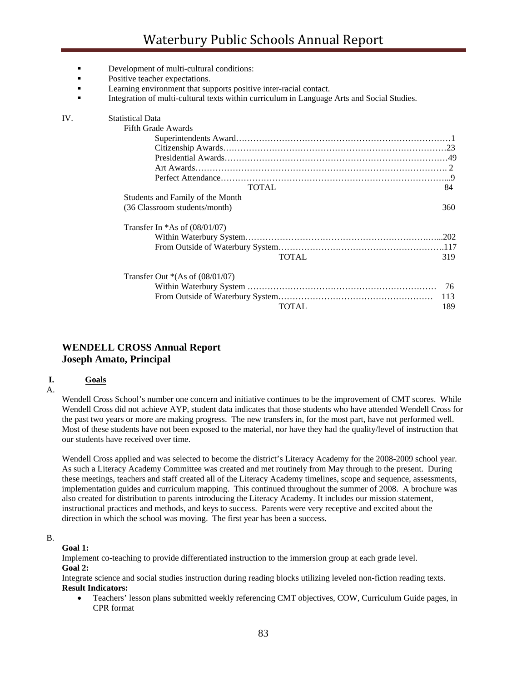- Development of multi-cultural conditions:
- Positive teacher expectations.
- **Example 1** Learning environment that supports positive inter-racial contact.
- Integration of multi-cultural texts within curriculum in Language Arts and Social Studies.

| IV. | <b>Statistical Data</b>            |     |
|-----|------------------------------------|-----|
|     | Fifth Grade Awards                 |     |
|     |                                    |     |
|     |                                    |     |
|     |                                    |     |
|     |                                    |     |
|     |                                    |     |
|     | <b>TOTAL</b>                       | 84  |
|     | Students and Family of the Month   |     |
|     | (36 Classroom students/month)      | 360 |
|     | Transfer In $*As$ of (08/01/07)    |     |
|     |                                    |     |
|     |                                    |     |
|     | <b>TOTAL</b>                       | 319 |
|     | Transfer Out $*(As of (08/01/07))$ |     |
|     |                                    | 76  |
|     |                                    | 113 |
|     | <b>TOTAL</b>                       | 189 |
|     |                                    |     |

# **WENDELL CROSS Annual Report Joseph Amato, Principal**

#### **I. Goals**

A.

Wendell Cross School's number one concern and initiative continues to be the improvement of CMT scores. While Wendell Cross did not achieve AYP, student data indicates that those students who have attended Wendell Cross for the past two years or more are making progress. The new transfers in, for the most part, have not performed well. Most of these students have not been exposed to the material, nor have they had the quality/level of instruction that our students have received over time.

Wendell Cross applied and was selected to become the district's Literacy Academy for the 2008-2009 school year. As such a Literacy Academy Committee was created and met routinely from May through to the present. During these meetings, teachers and staff created all of the Literacy Academy timelines, scope and sequence, assessments, implementation guides and curriculum mapping. This continued throughout the summer of 2008. A brochure was also created for distribution to parents introducing the Literacy Academy. It includes our mission statement, instructional practices and methods, and keys to success. Parents were very receptive and excited about the direction in which the school was moving. The first year has been a success.

#### B.

#### **Goal 1:**

Implement co-teaching to provide differentiated instruction to the immersion group at each grade level. **Goal 2:** 

Integrate science and social studies instruction during reading blocks utilizing leveled non-fiction reading texts. **Result Indicators:** 

• Teachers' lesson plans submitted weekly referencing CMT objectives, COW, Curriculum Guide pages, in CPR format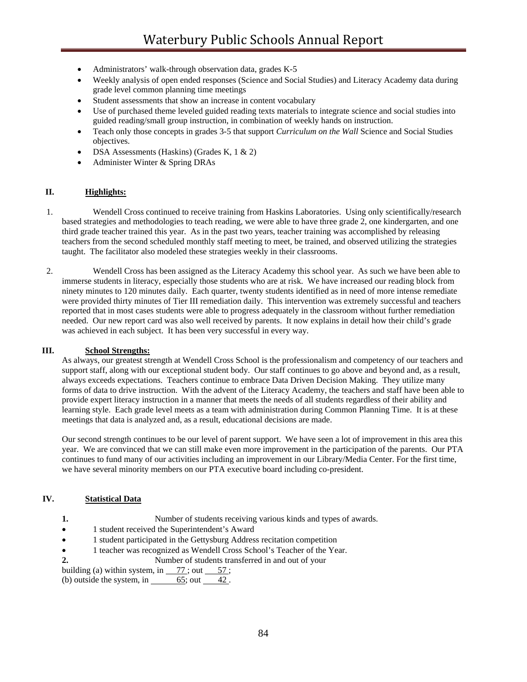- Administrators' walk-through observation data, grades K-5
- Weekly analysis of open ended responses (Science and Social Studies) and Literacy Academy data during grade level common planning time meetings
- Student assessments that show an increase in content vocabulary
- Use of purchased theme leveled guided reading texts materials to integrate science and social studies into guided reading/small group instruction, in combination of weekly hands on instruction.
- Teach only those concepts in grades 3-5 that support *Curriculum on the Wall* Science and Social Studies objectives.
- DSA Assessments (Haskins) (Grades K, 1 & 2)
- Administer Winter & Spring DRAs

# **II. Highlights:**

- 1. Wendell Cross continued to receive training from Haskins Laboratories. Using only scientifically/research based strategies and methodologies to teach reading, we were able to have three grade 2, one kindergarten, and one third grade teacher trained this year. As in the past two years, teacher training was accomplished by releasing teachers from the second scheduled monthly staff meeting to meet, be trained, and observed utilizing the strategies taught. The facilitator also modeled these strategies weekly in their classrooms.
- 2. Wendell Cross has been assigned as the Literacy Academy this school year. As such we have been able to immerse students in literacy, especially those students who are at risk. We have increased our reading block from ninety minutes to 120 minutes daily. Each quarter, twenty students identified as in need of more intense remediate were provided thirty minutes of Tier III remediation daily. This intervention was extremely successful and teachers reported that in most cases students were able to progress adequately in the classroom without further remediation needed. Our new report card was also well received by parents. It now explains in detail how their child's grade was achieved in each subject. It has been very successful in every way.

### **III. School Strengths:**

As always, our greatest strength at Wendell Cross School is the professionalism and competency of our teachers and support staff, along with our exceptional student body. Our staff continues to go above and beyond and, as a result, always exceeds expectations. Teachers continue to embrace Data Driven Decision Making. They utilize many forms of data to drive instruction. With the advent of the Literacy Academy, the teachers and staff have been able to provide expert literacy instruction in a manner that meets the needs of all students regardless of their ability and learning style. Each grade level meets as a team with administration during Common Planning Time. It is at these meetings that data is analyzed and, as a result, educational decisions are made.

Our second strength continues to be our level of parent support. We have seen a lot of improvement in this area this year. We are convinced that we can still make even more improvement in the participation of the parents. Our PTA continues to fund many of our activities including an improvement in our Library/Media Center. For the first time, we have several minority members on our PTA executive board including co-president.

# **IV. Statistical Data**

- **1.** Number of students receiving various kinds and types of awards.
- 1 student received the Superintendent's Award
- 1 student participated in the Gettysburg Address recitation competition
- 1 teacher was recognized as Wendell Cross School's Teacher of the Year.
- **2.** Number of students transferred in and out of your

building (a) within system, in  $77$ ; out  $57$ ; (b) outside the system, in  $\frac{65}{5}$  out  $\frac{42}{5}$ .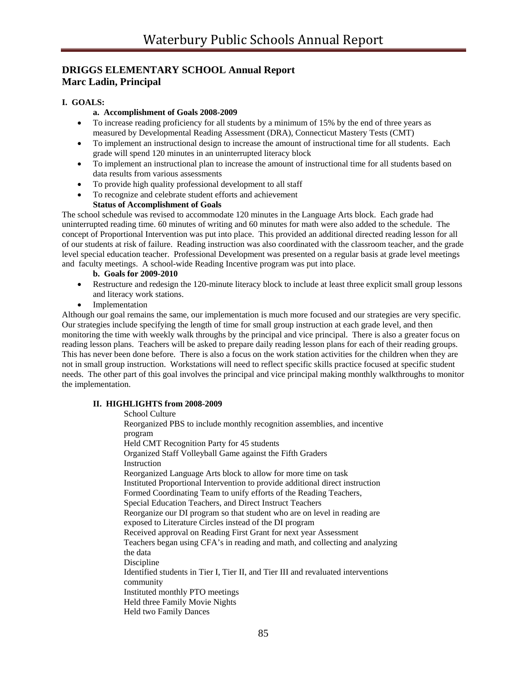# **DRIGGS ELEMENTARY SCHOOL Annual Report Marc Ladin, Principal**

# **I. GOALS:**

## **a. Accomplishment of Goals 2008-2009**

- To increase reading proficiency for all students by a minimum of 15% by the end of three years as measured by Developmental Reading Assessment (DRA), Connecticut Mastery Tests (CMT)
- To implement an instructional design to increase the amount of instructional time for all students. Each grade will spend 120 minutes in an uninterrupted literacy block
- To implement an instructional plan to increase the amount of instructional time for all students based on data results from various assessments
- To provide high quality professional development to all staff
- To recognize and celebrate student efforts and achievement

## **Status of Accomplishment of Goals**

The school schedule was revised to accommodate 120 minutes in the Language Arts block. Each grade had uninterrupted reading time. 60 minutes of writing and 60 minutes for math were also added to the schedule. The concept of Proportional Intervention was put into place. This provided an additional directed reading lesson for all of our students at risk of failure. Reading instruction was also coordinated with the classroom teacher, and the grade level special education teacher. Professional Development was presented on a regular basis at grade level meetings and faculty meetings. A school-wide Reading Incentive program was put into place.

#### **b. Goals for 2009-2010**

- Restructure and redesign the 120-minute literacy block to include at least three explicit small group lessons and literacy work stations.
- **Implementation**

Although our goal remains the same, our implementation is much more focused and our strategies are very specific. Our strategies include specifying the length of time for small group instruction at each grade level, and then monitoring the time with weekly walk throughs by the principal and vice principal. There is also a greater focus on reading lesson plans. Teachers will be asked to prepare daily reading lesson plans for each of their reading groups. This has never been done before. There is also a focus on the work station activities for the children when they are not in small group instruction. Workstations will need to reflect specific skills practice focused at specific student needs. The other part of this goal involves the principal and vice principal making monthly walkthroughs to monitor the implementation.

#### **II. HIGHLIGHTS from 2008-2009**

 School Culture Reorganized PBS to include monthly recognition assemblies, and incentive program Held CMT Recognition Party for 45 students Organized Staff Volleyball Game against the Fifth Graders Instruction Reorganized Language Arts block to allow for more time on task Instituted Proportional Intervention to provide additional direct instruction Formed Coordinating Team to unify efforts of the Reading Teachers, Special Education Teachers, and Direct Instruct Teachers Reorganize our DI program so that student who are on level in reading are exposed to Literature Circles instead of the DI program Received approval on Reading First Grant for next year Assessment Teachers began using CFA's in reading and math, and collecting and analyzing the data Discipline Identified students in Tier I, Tier II, and Tier III and revaluated interventions community Instituted monthly PTO meetings Held three Family Movie Nights Held two Family Dances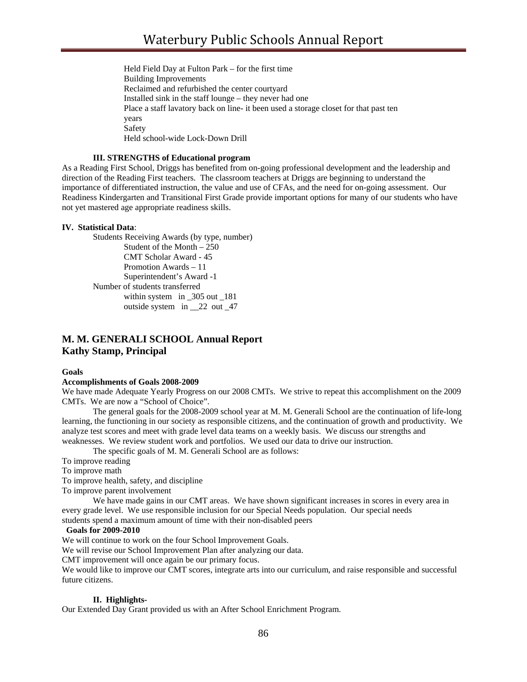Held Field Day at Fulton Park – for the first time Building Improvements Reclaimed and refurbished the center courtyard Installed sink in the staff lounge – they never had one Place a staff lavatory back on line- it been used a storage closet for that past ten years Safety Held school-wide Lock-Down Drill

### **III. STRENGTHS of Educational program**

As a Reading First School, Driggs has benefited from on-going professional development and the leadership and direction of the Reading First teachers. The classroom teachers at Driggs are beginning to understand the importance of differentiated instruction, the value and use of CFAs, and the need for on-going assessment. Our Readiness Kindergarten and Transitional First Grade provide important options for many of our students who have not yet mastered age appropriate readiness skills.

#### **IV. Statistical Data**:

 Students Receiving Awards (by type, number) Student of the Month – 250 CMT Scholar Award - 45 Promotion Awards – 11 Superintendent's Award -1 Number of students transferred within system in \_305 out \_181 outside system in 22 out 47

# **M. M. GENERALI SCHOOL Annual Report Kathy Stamp, Principal**

#### **Goals**

#### **Accomplishments of Goals 2008-2009**

We have made Adequate Yearly Progress on our 2008 CMTs. We strive to repeat this accomplishment on the 2009 CMTs. We are now a "School of Choice".

 The general goals for the 2008-2009 school year at M. M. Generali School are the continuation of life-long learning, the functioning in our society as responsible citizens, and the continuation of growth and productivity. We analyze test scores and meet with grade level data teams on a weekly basis. We discuss our strengths and weaknesses. We review student work and portfolios. We used our data to drive our instruction.

The specific goals of M. M. Generali School are as follows:

To improve reading

To improve math

To improve health, safety, and discipline

To improve parent involvement

We have made gains in our CMT areas. We have shown significant increases in scores in every area in every grade level. We use responsible inclusion for our Special Needs population. Our special needs students spend a maximum amount of time with their non-disabled peers

#### **Goals for 2009-2010**

We will continue to work on the four School Improvement Goals.

We will revise our School Improvement Plan after analyzing our data.

CMT improvement will once again be our primary focus.

We would like to improve our CMT scores, integrate arts into our curriculum, and raise responsible and successful future citizens.

#### **II. Highlights-**

Our Extended Day Grant provided us with an After School Enrichment Program.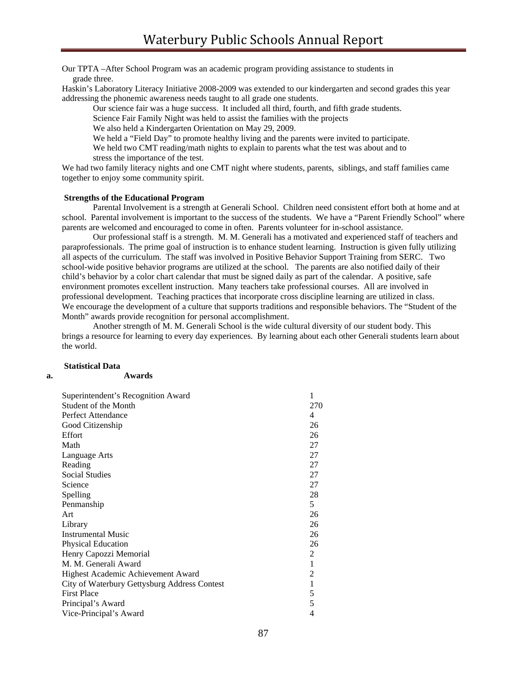Our TPTA –After School Program was an academic program providing assistance to students in grade three.

Haskin's Laboratory Literacy Initiative 2008-2009 was extended to our kindergarten and second grades this year addressing the phonemic awareness needs taught to all grade one students.

Our science fair was a huge success. It included all third, fourth, and fifth grade students.

Science Fair Family Night was held to assist the families with the projects

We also held a Kindergarten Orientation on May 29, 2009.

We held a "Field Day" to promote healthy living and the parents were invited to participate.

We held two CMT reading/math nights to explain to parents what the test was about and to stress the importance of the test.

We had two family literacy nights and one CMT night where students, parents, siblings, and staff families came together to enjoy some community spirit.

#### **Strengths of the Educational Program**

 Parental Involvement is a strength at Generali School. Children need consistent effort both at home and at school. Parental involvement is important to the success of the students. We have a "Parent Friendly School" where parents are welcomed and encouraged to come in often. Parents volunteer for in-school assistance.

 Our professional staff is a strength. M. M. Generali has a motivated and experienced staff of teachers and paraprofessionals. The prime goal of instruction is to enhance student learning. Instruction is given fully utilizing all aspects of the curriculum. The staff was involved in Positive Behavior Support Training from SERC. Two school-wide positive behavior programs are utilized at the school. The parents are also notified daily of their child's behavior by a color chart calendar that must be signed daily as part of the calendar. A positive, safe environment promotes excellent instruction. Many teachers take professional courses. All are involved in professional development. Teaching practices that incorporate cross discipline learning are utilized in class. We encourage the development of a culture that supports traditions and responsible behaviors. The "Student of the Month" awards provide recognition for personal accomplishment.

 Another strength of M. M. Generali School is the wide cultural diversity of our student body. This brings a resource for learning to every day experiences. By learning about each other Generali students learn about the world.

#### **Statistical Data**

| v | . | i |
|---|---|---|
|   |   |   |

#### **a. Awards**

| Superintendent's Recognition Award<br>Student of the Month<br>Perfect Attendance<br>Good Citizenship<br>Effort<br>Math<br>Language Arts<br>Reading<br><b>Social Studies</b><br>Science<br>Spelling<br>Penmanship<br>Art<br>Library | 1<br>270<br>$\overline{4}$<br>26<br>26<br>27<br>27<br>27<br>27<br>27<br>28<br>5<br>26<br>26 |
|------------------------------------------------------------------------------------------------------------------------------------------------------------------------------------------------------------------------------------|---------------------------------------------------------------------------------------------|
| <b>Instrumental Music</b>                                                                                                                                                                                                          | 26                                                                                          |
| <b>Physical Education</b>                                                                                                                                                                                                          | 26                                                                                          |
| Henry Capozzi Memorial                                                                                                                                                                                                             | 2                                                                                           |
| M. M. Generali Award                                                                                                                                                                                                               | 1                                                                                           |
| Highest Academic Achievement Award                                                                                                                                                                                                 | 2                                                                                           |
| City of Waterbury Gettysburg Address Contest                                                                                                                                                                                       | $\mathbf{1}$                                                                                |
| <b>First Place</b>                                                                                                                                                                                                                 | 5                                                                                           |
| Principal's Award                                                                                                                                                                                                                  | 5                                                                                           |
| Vice-Principal's Award                                                                                                                                                                                                             | 4                                                                                           |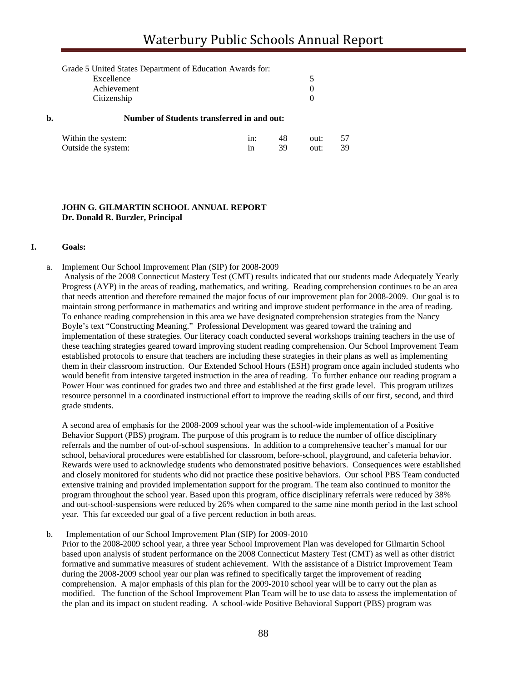|    | Grade 5 United States Department of Education Awards for: |          |  |
|----|-----------------------------------------------------------|----------|--|
|    | Excellence                                                | 5        |  |
|    | Achievement                                               | $\theta$ |  |
|    | Citizenship                                               | $\Omega$ |  |
| b. | <b>Number of Students transferred in and out:</b>         |          |  |

| Within the system:  | 48.  | out: |  |
|---------------------|------|------|--|
| Outside the system: | -39- | out: |  |

#### **JOHN G. GILMARTIN SCHOOL ANNUAL REPORT Dr. Donald R. Burzler, Principal**

#### **I. Goals:**

a. Implement Our School Improvement Plan (SIP) for 2008-2009

 Analysis of the 2008 Connecticut Mastery Test (CMT) results indicated that our students made Adequately Yearly Progress (AYP) in the areas of reading, mathematics, and writing. Reading comprehension continues to be an area that needs attention and therefore remained the major focus of our improvement plan for 2008-2009. Our goal is to maintain strong performance in mathematics and writing and improve student performance in the area of reading. To enhance reading comprehension in this area we have designated comprehension strategies from the Nancy Boyle's text "Constructing Meaning." Professional Development was geared toward the training and implementation of these strategies. Our literacy coach conducted several workshops training teachers in the use of these teaching strategies geared toward improving student reading comprehension. Our School Improvement Team established protocols to ensure that teachers are including these strategies in their plans as well as implementing them in their classroom instruction. Our Extended School Hours (ESH) program once again included students who would benefit from intensive targeted instruction in the area of reading. To further enhance our reading program a Power Hour was continued for grades two and three and established at the first grade level. This program utilizes resource personnel in a coordinated instructional effort to improve the reading skills of our first, second, and third grade students.

A second area of emphasis for the 2008-2009 school year was the school-wide implementation of a Positive Behavior Support (PBS) program. The purpose of this program is to reduce the number of office disciplinary referrals and the number of out-of-school suspensions. In addition to a comprehensive teacher's manual for our school, behavioral procedures were established for classroom, before-school, playground, and cafeteria behavior. Rewards were used to acknowledge students who demonstrated positive behaviors. Consequences were established and closely monitored for students who did not practice these positive behaviors. Our school PBS Team conducted extensive training and provided implementation support for the program. The team also continued to monitor the program throughout the school year. Based upon this program, office disciplinary referrals were reduced by 38% and out-school-suspensions were reduced by 26% when compared to the same nine month period in the last school year. This far exceeded our goal of a five percent reduction in both areas.

#### b. Implementation of our School Improvement Plan (SIP) for 2009-2010

Prior to the 2008-2009 school year, a three year School Improvement Plan was developed for Gilmartin School based upon analysis of student performance on the 2008 Connecticut Mastery Test (CMT) as well as other district formative and summative measures of student achievement. With the assistance of a District Improvement Team during the 2008-2009 school year our plan was refined to specifically target the improvement of reading comprehension. A major emphasis of this plan for the 2009-2010 school year will be to carry out the plan as modified. The function of the School Improvement Plan Team will be to use data to assess the implementation of the plan and its impact on student reading. A school-wide Positive Behavioral Support (PBS) program was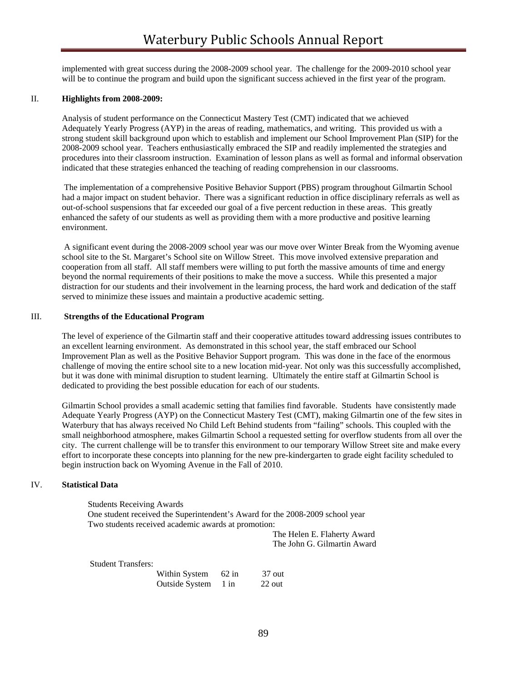implemented with great success during the 2008-2009 school year. The challenge for the 2009-2010 school year will be to continue the program and build upon the significant success achieved in the first year of the program.

#### II. **Highlights from 2008-2009:**

Analysis of student performance on the Connecticut Mastery Test (CMT) indicated that we achieved Adequately Yearly Progress (AYP) in the areas of reading, mathematics, and writing. This provided us with a strong student skill background upon which to establish and implement our School Improvement Plan (SIP) for the 2008-2009 school year. Teachers enthusiastically embraced the SIP and readily implemented the strategies and procedures into their classroom instruction. Examination of lesson plans as well as formal and informal observation indicated that these strategies enhanced the teaching of reading comprehension in our classrooms.

 The implementation of a comprehensive Positive Behavior Support (PBS) program throughout Gilmartin School had a major impact on student behavior. There was a significant reduction in office disciplinary referrals as well as out-of-school suspensions that far exceeded our goal of a five percent reduction in these areas. This greatly enhanced the safety of our students as well as providing them with a more productive and positive learning environment.

 A significant event during the 2008-2009 school year was our move over Winter Break from the Wyoming avenue school site to the St. Margaret's School site on Willow Street. This move involved extensive preparation and cooperation from all staff. All staff members were willing to put forth the massive amounts of time and energy beyond the normal requirements of their positions to make the move a success. While this presented a major distraction for our students and their involvement in the learning process, the hard work and dedication of the staff served to minimize these issues and maintain a productive academic setting.

#### III. **Strengths of the Educational Program**

The level of experience of the Gilmartin staff and their cooperative attitudes toward addressing issues contributes to an excellent learning environment. As demonstrated in this school year, the staff embraced our School Improvement Plan as well as the Positive Behavior Support program. This was done in the face of the enormous challenge of moving the entire school site to a new location mid-year. Not only was this successfully accomplished, but it was done with minimal disruption to student learning. Ultimately the entire staff at Gilmartin School is dedicated to providing the best possible education for each of our students.

Gilmartin School provides a small academic setting that families find favorable. Students have consistently made Adequate Yearly Progress (AYP) on the Connecticut Mastery Test (CMT), making Gilmartin one of the few sites in Waterbury that has always received No Child Left Behind students from "failing" schools. This coupled with the small neighborhood atmosphere, makes Gilmartin School a requested setting for overflow students from all over the city. The current challenge will be to transfer this environment to our temporary Willow Street site and make every effort to incorporate these concepts into planning for the new pre-kindergarten to grade eight facility scheduled to begin instruction back on Wyoming Avenue in the Fall of 2010.

#### IV. **Statistical Data**

Students Receiving Awards One student received the Superintendent's Award for the 2008-2009 school year Two students received academic awards at promotion:

 The Helen E. Flaherty Award The John G. Gilmartin Award

Student Transfers:

| Within System       | $62$ in | $37$ out |
|---------------------|---------|----------|
| Outside System 1 in |         | $22$ out |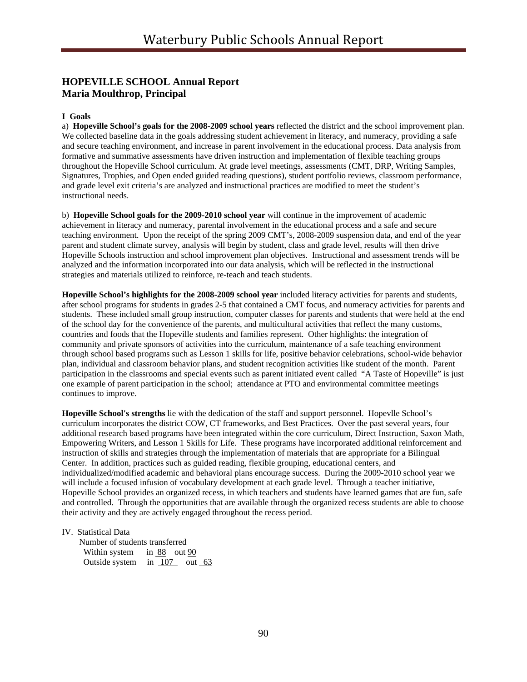# **HOPEVILLE SCHOOL Annual Report Maria Moulthrop, Principal**

#### **I Goals**

a) **Hopeville School's goals for the 2008-2009 school years** reflected the district and the school improvement plan. We collected baseline data in the goals addressing student achievement in literacy, and numeracy, providing a safe and secure teaching environment, and increase in parent involvement in the educational process. Data analysis from formative and summative assessments have driven instruction and implementation of flexible teaching groups throughout the Hopeville School curriculum. At grade level meetings, assessments (CMT, DRP, Writing Samples, Signatures, Trophies, and Open ended guided reading questions), student portfolio reviews, classroom performance, and grade level exit criteria's are analyzed and instructional practices are modified to meet the student's instructional needs.

b) **Hopeville School goals for the 2009-2010 school year** will continue in the improvement of academic achievement in literacy and numeracy, parental involvement in the educational process and a safe and secure teaching environment. Upon the receipt of the spring 2009 CMT's, 2008-2009 suspension data, and end of the year parent and student climate survey, analysis will begin by student, class and grade level, results will then drive Hopeville Schools instruction and school improvement plan objectives. Instructional and assessment trends will be analyzed and the information incorporated into our data analysis, which will be reflected in the instructional strategies and materials utilized to reinforce, re-teach and teach students.

**Hopeville School's highlights for the 2008-2009 school year** included literacy activities for parents and students, after school programs for students in grades 2-5 that contained a CMT focus, and numeracy activities for parents and students. These included small group instruction, computer classes for parents and students that were held at the end of the school day for the convenience of the parents, and multicultural activities that reflect the many customs, countries and foods that the Hopeville students and families represent. Other highlights: the integration of community and private sponsors of activities into the curriculum, maintenance of a safe teaching environment through school based programs such as Lesson 1 skills for life, positive behavior celebrations, school-wide behavior plan, individual and classroom behavior plans, and student recognition activities like student of the month. Parent participation in the classrooms and special events such as parent initiated event called "A Taste of Hopeville" is just one example of parent participation in the school; attendance at PTO and environmental committee meetings continues to improve.

**Hopeville School's strengths** lie with the dedication of the staff and support personnel. Hopevlle School's curriculum incorporates the district COW, CT frameworks, and Best Practices. Over the past several years, four additional research based programs have been integrated within the core curriculum, Direct Instruction, Saxon Math, Empowering Writers, and Lesson 1 Skills for Life. These programs have incorporated additional reinforcement and instruction of skills and strategies through the implementation of materials that are appropriate for a Bilingual Center. In addition, practices such as guided reading, flexible grouping, educational centers, and individualized/modified academic and behavioral plans encourage success. During the 2009-2010 school year we will include a focused infusion of vocabulary development at each grade level. Through a teacher initiative, Hopeville School provides an organized recess, in which teachers and students have learned games that are fun, safe and controlled. Through the opportunities that are available through the organized recess students are able to choose their activity and they are actively engaged throughout the recess period.

IV. Statistical Data

 Number of students transferred Within system in 88 out 90 Outside system in 107 out 63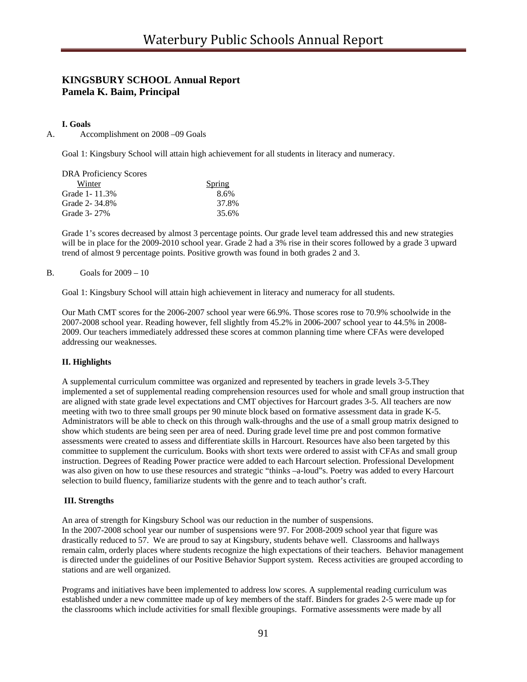# **KINGSBURY SCHOOL Annual Report Pamela K. Baim, Principal**

#### **I. Goals**

A. Accomplishment on 2008 –09 Goals

Goal 1: Kingsbury School will attain high achievement for all students in literacy and numeracy.

| <b>DRA Proficiency Scores</b> |               |
|-------------------------------|---------------|
| Winter                        | <b>Spring</b> |
| Grade 1 - 11.3%               | 8.6%          |
| Grade 2-34.8%                 | 37.8%         |
| Grade 3-27%                   | 35.6%         |

Grade 1's scores decreased by almost 3 percentage points. Our grade level team addressed this and new strategies will be in place for the 2009-2010 school year. Grade 2 had a 3% rise in their scores followed by a grade 3 upward trend of almost 9 percentage points. Positive growth was found in both grades 2 and 3.

#### B. Goals for 2009 – 10

Goal 1: Kingsbury School will attain high achievement in literacy and numeracy for all students.

Our Math CMT scores for the 2006-2007 school year were 66.9%. Those scores rose to 70.9% schoolwide in the 2007-2008 school year. Reading however, fell slightly from 45.2% in 2006-2007 school year to 44.5% in 2008- 2009. Our teachers immediately addressed these scores at common planning time where CFAs were developed addressing our weaknesses.

#### **II. Highlights**

A supplemental curriculum committee was organized and represented by teachers in grade levels 3-5.They implemented a set of supplemental reading comprehension resources used for whole and small group instruction that are aligned with state grade level expectations and CMT objectives for Harcourt grades 3-5. All teachers are now meeting with two to three small groups per 90 minute block based on formative assessment data in grade K-5. Administrators will be able to check on this through walk-throughs and the use of a small group matrix designed to show which students are being seen per area of need. During grade level time pre and post common formative assessments were created to assess and differentiate skills in Harcourt. Resources have also been targeted by this committee to supplement the curriculum. Books with short texts were ordered to assist with CFAs and small group instruction. Degrees of Reading Power practice were added to each Harcourt selection. Professional Development was also given on how to use these resources and strategic "thinks –a-loud"s. Poetry was added to every Harcourt selection to build fluency, familiarize students with the genre and to teach author's craft.

#### **III. Strengths**

An area of strength for Kingsbury School was our reduction in the number of suspensions. In the 2007-2008 school year our number of suspensions were 97. For 2008-2009 school year that figure was drastically reduced to 57. We are proud to say at Kingsbury, students behave well. Classrooms and hallways remain calm, orderly places where students recognize the high expectations of their teachers. Behavior management is directed under the guidelines of our Positive Behavior Support system. Recess activities are grouped according to stations and are well organized.

Programs and initiatives have been implemented to address low scores. A supplemental reading curriculum was established under a new committee made up of key members of the staff. Binders for grades 2-5 were made up for the classrooms which include activities for small flexible groupings. Formative assessments were made by all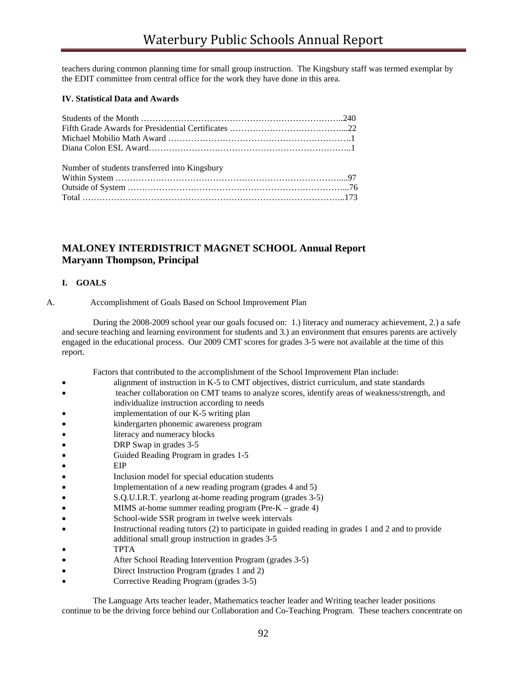teachers during common planning time for small group instruction. The Kingsbury staff was termed exemplar by the EDIT committee from central office for the work they have done in this area.

# **IV. Statistical Data and Awards**

| Number of students transferred into Kingsbury |  |
|-----------------------------------------------|--|
|                                               |  |
|                                               |  |
|                                               |  |

# **MALONEY INTERDISTRICT MAGNET SCHOOL Annual Report Maryann Thompson, Principal**

#### **I. GOALS**

A. Accomplishment of Goals Based on School Improvement Plan

 During the 2008-2009 school year our goals focused on: 1.) literacy and numeracy achievement, 2.) a safe and secure teaching and learning environment for students and 3.) an environment that ensures parents are actively engaged in the educational process. Our 2009 CMT scores for grades 3-5 were not available at the time of this report.

Factors that contributed to the accomplishment of the School Improvement Plan include:

- alignment of instruction in K-5 to CMT objectives, district curriculum, and state standards
- teacher collaboration on CMT teams to analyze scores, identify areas of weakness/strength, and
- individualize instruction according to needs
- implementation of our K-5 writing plan
- kindergarten phonemic awareness program
- literacy and numeracy blocks
- DRP Swap in grades 3-5
- Guided Reading Program in grades 1-5
- EIP
- Inclusion model for special education students
- Implementation of a new reading program (grades 4 and 5)
- S.Q.U.I.R.T. yearlong at-home reading program (grades 3-5)
- MIMS at-home summer reading program (Pre-K grade 4)
- School-wide SSR program in twelve week intervals
- Instructional reading tutors (2) to participate in guided reading in grades 1 and 2 and to provide
- additional small group instruction in grades 3-5
- TPTA
- After School Reading Intervention Program (grades 3-5)
- Direct Instruction Program (grades 1 and 2)
- Corrective Reading Program (grades 3-5)

The Language Arts teacher leader, Mathematics teacher leader and Writing teacher leader positions continue to be the driving force behind our Collaboration and Co-Teaching Program. These teachers concentrate on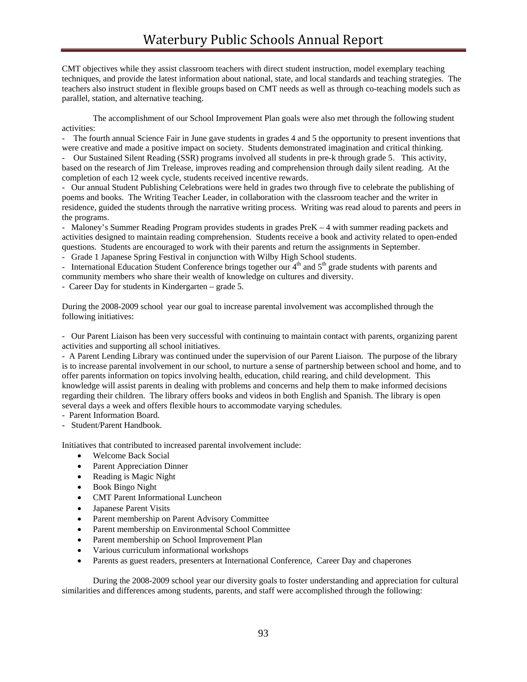CMT objectives while they assist classroom teachers with direct student instruction, model exemplary teaching techniques, and provide the latest information about national, state, and local standards and teaching strategies. The teachers also instruct student in flexible groups based on CMT needs as well as through co-teaching models such as parallel, station, and alternative teaching.

 The accomplishment of our School Improvement Plan goals were also met through the following student activities:

- The fourth annual Science Fair in June gave students in grades 4 and 5 the opportunity to present inventions that were creative and made a positive impact on society. Students demonstrated imagination and critical thinking.

- Our Sustained Silent Reading (SSR) programs involved all students in pre-k through grade 5. This activity, based on the research of Jim Trelease, improves reading and comprehension through daily silent reading. At the completion of each 12 week cycle, students received incentive rewards.

- Our annual Student Publishing Celebrations were held in grades two through five to celebrate the publishing of poems and books. The Writing Teacher Leader, in collaboration with the classroom teacher and the writer in residence, guided the students through the narrative writing process. Writing was read aloud to parents and peers in the programs.

- Maloney's Summer Reading Program provides students in grades PreK – 4 with summer reading packets and activities designed to maintain reading comprehension. Students receive a book and activity related to open-ended questions. Students are encouraged to work with their parents and return the assignments in September.

- Grade 1 Japanese Spring Festival in conjunction with Wilby High School students.

- International Education Student Conference brings together our  $4<sup>th</sup>$  and  $5<sup>th</sup>$  grade students with parents and community members who share their wealth of knowledge on cultures and diversity.

- Career Day for students in Kindergarten – grade 5.

During the 2008-2009 school year our goal to increase parental involvement was accomplished through the following initiatives:

- Our Parent Liaison has been very successful with continuing to maintain contact with parents, organizing parent activities and supporting all school initiatives.

- A Parent Lending Library was continued under the supervision of our Parent Liaison. The purpose of the library is to increase parental involvement in our school, to nurture a sense of partnership between school and home, and to offer parents information on topics involving health, education, child rearing, and child development. This knowledge will assist parents in dealing with problems and concerns and help them to make informed decisions regarding their children. The library offers books and videos in both English and Spanish. The library is open several days a week and offers flexible hours to accommodate varying schedules.

- Parent Information Board.

- Student/Parent Handbook.

Initiatives that contributed to increased parental involvement include:

- Welcome Back Social
- Parent Appreciation Dinner
- Reading is Magic Night
- Book Bingo Night
- CMT Parent Informational Luncheon
- Japanese Parent Visits
- Parent membership on Parent Advisory Committee
- Parent membership on Environmental School Committee
- Parent membership on School Improvement Plan
- Various curriculum informational workshops
- Parents as guest readers, presenters at International Conference, Career Day and chaperones

 During the 2008-2009 school year our diversity goals to foster understanding and appreciation for cultural similarities and differences among students, parents, and staff were accomplished through the following: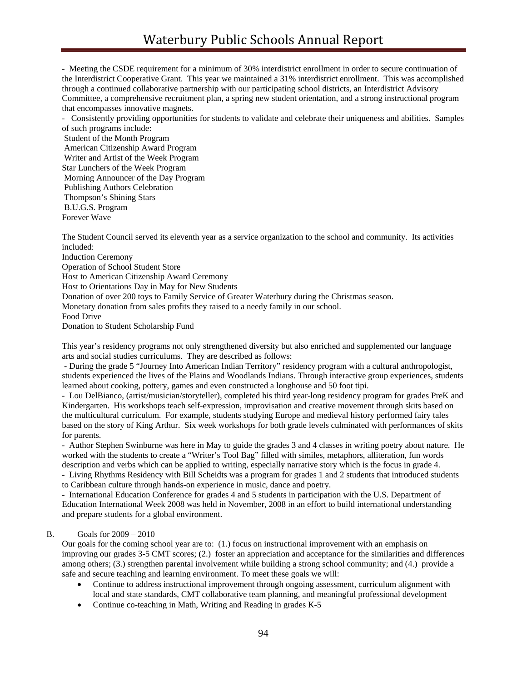- Meeting the CSDE requirement for a minimum of 30% interdistrict enrollment in order to secure continuation of the Interdistrict Cooperative Grant. This year we maintained a 31% interdistrict enrollment. This was accomplished through a continued collaborative partnership with our participating school districts, an Interdistrict Advisory Committee, a comprehensive recruitment plan, a spring new student orientation, and a strong instructional program that encompasses innovative magnets.

- Consistently providing opportunities for students to validate and celebrate their uniqueness and abilities. Samples of such programs include:

 Student of the Month Program American Citizenship Award Program Writer and Artist of the Week Program Star Lunchers of the Week Program Morning Announcer of the Day Program Publishing Authors Celebration Thompson's Shining Stars B.U.G.S. Program Forever Wave

The Student Council served its eleventh year as a service organization to the school and community. Its activities included:

Induction Ceremony Operation of School Student Store Host to American Citizenship Award Ceremony Host to Orientations Day in May for New Students Donation of over 200 toys to Family Service of Greater Waterbury during the Christmas season. Monetary donation from sales profits they raised to a needy family in our school. Food Drive Donation to Student Scholarship Fund

This year's residency programs not only strengthened diversity but also enriched and supplemented our language arts and social studies curriculums. They are described as follows:

 - During the grade 5 "Journey Into American Indian Territory" residency program with a cultural anthropologist, students experienced the lives of the Plains and Woodlands Indians. Through interactive group experiences, students learned about cooking, pottery, games and even constructed a longhouse and 50 foot tipi.

- Lou DelBianco, (artist/musician/storyteller), completed his third year-long residency program for grades PreK and Kindergarten. His workshops teach self-expression, improvisation and creative movement through skits based on the multicultural curriculum. For example, students studying Europe and medieval history performed fairy tales based on the story of King Arthur. Six week workshops for both grade levels culminated with performances of skits for parents.

- Author Stephen Swinburne was here in May to guide the grades 3 and 4 classes in writing poetry about nature. He worked with the students to create a "Writer's Tool Bag" filled with similes, metaphors, alliteration, fun words description and verbs which can be applied to writing, especially narrative story which is the focus in grade 4.

- Living Rhythms Residency with Bill Scheidts was a program for grades 1 and 2 students that introduced students to Caribbean culture through hands-on experience in music, dance and poetry.

- International Education Conference for grades 4 and 5 students in participation with the U.S. Department of Education International Week 2008 was held in November, 2008 in an effort to build international understanding and prepare students for a global environment.

#### B. Goals for 2009 – 2010

Our goals for the coming school year are to: (1.) focus on instructional improvement with an emphasis on improving our grades 3-5 CMT scores; (2.) foster an appreciation and acceptance for the similarities and differences among others; (3.) strengthen parental involvement while building a strong school community; and (4.) provide a safe and secure teaching and learning environment. To meet these goals we will:

- Continue to address instructional improvement through ongoing assessment, curriculum alignment with local and state standards, CMT collaborative team planning, and meaningful professional development
- Continue co-teaching in Math, Writing and Reading in grades K-5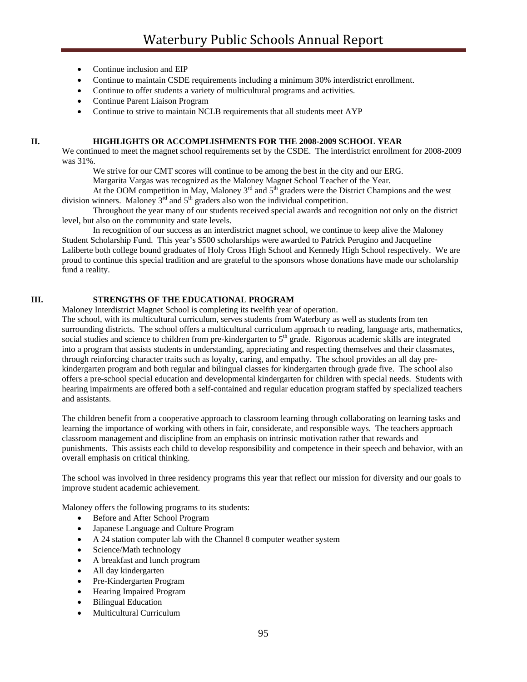- Continue inclusion and EIP
- Continue to maintain CSDE requirements including a minimum 30% interdistrict enrollment.
- Continue to offer students a variety of multicultural programs and activities.
- Continue Parent Liaison Program
- Continue to strive to maintain NCLB requirements that all students meet AYP

#### **II. HIGHLIGHTS OR ACCOMPLISHMENTS FOR THE 2008-2009 SCHOOL YEAR**

We continued to meet the magnet school requirements set by the CSDE. The interdistrict enrollment for 2008-2009 was 31%.

We strive for our CMT scores will continue to be among the best in the city and our ERG.

Margarita Vargas was recognized as the Maloney Magnet School Teacher of the Year.

At the OOM competition in May, Maloney  $3<sup>rd</sup>$  and  $5<sup>th</sup>$  graders were the District Champions and the west division winners. Maloney  $3<sup>rd</sup>$  and  $5<sup>th</sup>$  graders also won the individual competition.

 Throughout the year many of our students received special awards and recognition not only on the district level, but also on the community and state levels.

 In recognition of our success as an interdistrict magnet school, we continue to keep alive the Maloney Student Scholarship Fund. This year's \$500 scholarships were awarded to Patrick Perugino and Jacqueline Laliberte both college bound graduates of Holy Cross High School and Kennedy High School respectively. We are proud to continue this special tradition and are grateful to the sponsors whose donations have made our scholarship fund a reality.

#### **III. STRENGTHS OF THE EDUCATIONAL PROGRAM**

Maloney Interdistrict Magnet School is completing its twelfth year of operation.

The school, with its multicultural curriculum, serves students from Waterbury as well as students from ten surrounding districts. The school offers a multicultural curriculum approach to reading, language arts, mathematics, social studies and science to children from pre-kindergarten to 5<sup>th</sup> grade. Rigorous academic skills are integrated into a program that assists students in understanding, appreciating and respecting themselves and their classmates, through reinforcing character traits such as loyalty, caring, and empathy. The school provides an all day prekindergarten program and both regular and bilingual classes for kindergarten through grade five. The school also offers a pre-school special education and developmental kindergarten for children with special needs. Students with hearing impairments are offered both a self-contained and regular education program staffed by specialized teachers and assistants.

The children benefit from a cooperative approach to classroom learning through collaborating on learning tasks and learning the importance of working with others in fair, considerate, and responsible ways. The teachers approach classroom management and discipline from an emphasis on intrinsic motivation rather that rewards and punishments. This assists each child to develop responsibility and competence in their speech and behavior, with an overall emphasis on critical thinking.

The school was involved in three residency programs this year that reflect our mission for diversity and our goals to improve student academic achievement.

Maloney offers the following programs to its students:

- Before and After School Program
- Japanese Language and Culture Program
- A 24 station computer lab with the Channel 8 computer weather system
- Science/Math technology
- A breakfast and lunch program
- All day kindergarten
- Pre-Kindergarten Program
- Hearing Impaired Program
- Bilingual Education
- Multicultural Curriculum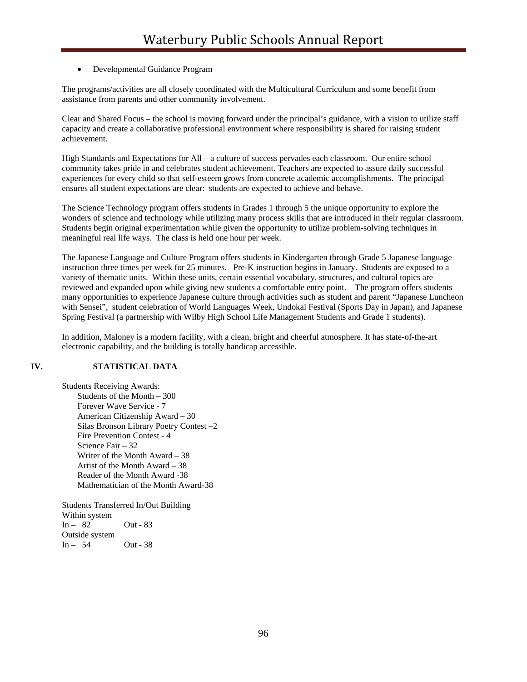## • Developmental Guidance Program

The programs/activities are all closely coordinated with the Multicultural Curriculum and some benefit from assistance from parents and other community involvement.

Clear and Shared Focus – the school is moving forward under the principal's guidance, with a vision to utilize staff capacity and create a collaborative professional environment where responsibility is shared for raising student achievement.

High Standards and Expectations for All – a culture of success pervades each classroom. Our entire school community takes pride in and celebrates student achievement. Teachers are expected to assure daily successful experiences for every child so that self-esteem grows from concrete academic accomplishments. The principal ensures all student expectations are clear: students are expected to achieve and behave.

The Science Technology program offers students in Grades 1 through 5 the unique opportunity to explore the wonders of science and technology while utilizing many process skills that are introduced in their regular classroom. Students begin original experimentation while given the opportunity to utilize problem-solving techniques in meaningful real life ways. The class is held one hour per week.

The Japanese Language and Culture Program offers students in Kindergarten through Grade 5 Japanese language instruction three times per week for 25 minutes. Pre-K instruction begins in January. Students are exposed to a variety of thematic units. Within these units, certain essential vocabulary, structures, and cultural topics are reviewed and expanded upon while giving new students a comfortable entry point. The program offers students many opportunities to experience Japanese culture through activities such as student and parent "Japanese Luncheon with Sensei", student celebration of World Languages Week, Undokai Festival (Sports Day in Japan), and Japanese Spring Festival (a partnership with Wilby High School Life Management Students and Grade 1 students).

In addition, Maloney is a modern facility, with a clean, bright and cheerful atmosphere. It has state-of-the-art electronic capability, and the building is totally handicap accessible.

# **IV. STATISTICAL DATA**

Students Receiving Awards: Students of the Month – 300 Forever Wave Service - 7 American Citizenship Award – 30 Silas Bronson Library Poetry Contest –2 Fire Prevention Contest - 4 Science Fair – 32 Writer of the Month Award – 38 Artist of the Month Award – 38 Reader of the Month Award -38 Mathematician of the Month Award-38

Students Transferred In/Out Building Within system  $In - 82$  Out - 83 Outside system<br> $In - 54$ **Out - 38**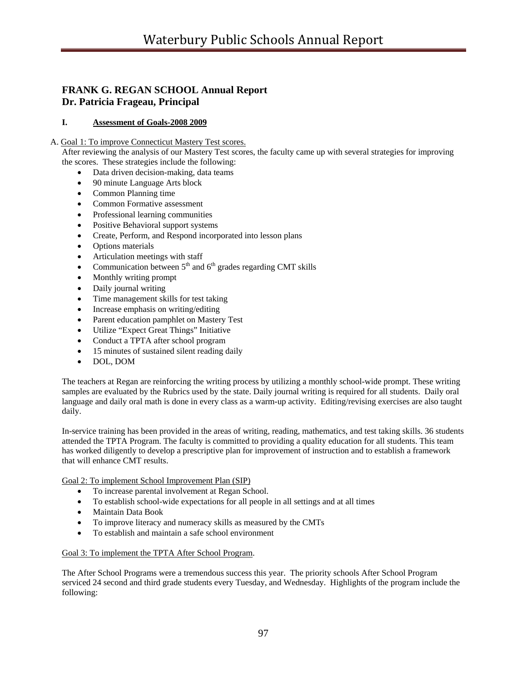# **FRANK G. REGAN SCHOOL Annual Report Dr. Patricia Frageau, Principal**

# **I. Assessment of Goals-2008 2009**

# A. Goal 1: To improve Connecticut Mastery Test scores.

After reviewing the analysis of our Mastery Test scores, the faculty came up with several strategies for improving the scores. These strategies include the following:

- Data driven decision-making, data teams
- 90 minute Language Arts block
- Common Planning time
- Common Formative assessment
- Professional learning communities
- Positive Behavioral support systems
- Create, Perform, and Respond incorporated into lesson plans
- Options materials
- Articulation meetings with staff
- Communication between  $5<sup>th</sup>$  and  $6<sup>th</sup>$  grades regarding CMT skills
- Monthly writing prompt
- Daily journal writing
- Time management skills for test taking
- Increase emphasis on writing/editing
- Parent education pamphlet on Mastery Test
- Utilize "Expect Great Things" Initiative
- Conduct a TPTA after school program
- 15 minutes of sustained silent reading daily
- DOL, DOM

The teachers at Regan are reinforcing the writing process by utilizing a monthly school-wide prompt. These writing samples are evaluated by the Rubrics used by the state. Daily journal writing is required for all students. Daily oral language and daily oral math is done in every class as a warm-up activity. Editing/revising exercises are also taught daily.

In-service training has been provided in the areas of writing, reading, mathematics, and test taking skills. 36 students attended the TPTA Program. The faculty is committed to providing a quality education for all students. This team has worked diligently to develop a prescriptive plan for improvement of instruction and to establish a framework that will enhance CMT results.

Goal 2: To implement School Improvement Plan (SIP)

- To increase parental involvement at Regan School.
- To establish school-wide expectations for all people in all settings and at all times
- Maintain Data Book
- To improve literacy and numeracy skills as measured by the CMTs
- To establish and maintain a safe school environment

#### Goal 3: To implement the TPTA After School Program.

The After School Programs were a tremendous success this year. The priority schools After School Program serviced 24 second and third grade students every Tuesday, and Wednesday. Highlights of the program include the following: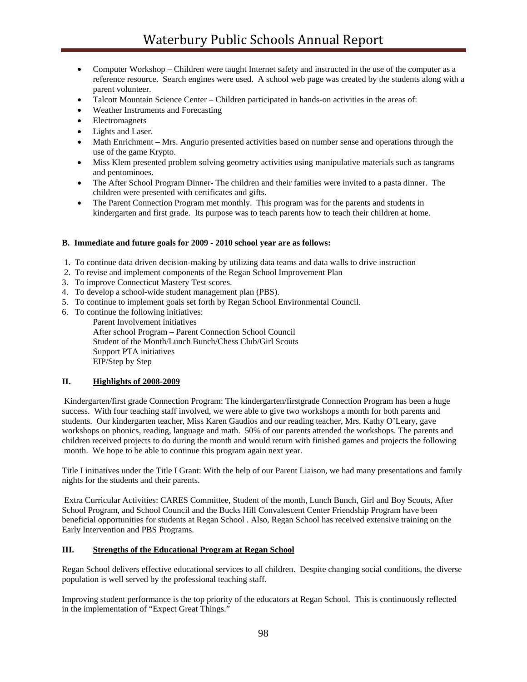- Computer Workshop Children were taught Internet safety and instructed in the use of the computer as a reference resource. Search engines were used. A school web page was created by the students along with a parent volunteer.
- Talcott Mountain Science Center Children participated in hands-on activities in the areas of:
- Weather Instruments and Forecasting
- Electromagnets
- Lights and Laser.
- Math Enrichment Mrs. Angurio presented activities based on number sense and operations through the use of the game Krypto.
- Miss Klem presented problem solving geometry activities using manipulative materials such as tangrams and pentominoes.
- The After School Program Dinner- The children and their families were invited to a pasta dinner. The children were presented with certificates and gifts.
- The Parent Connection Program met monthly. This program was for the parents and students in kindergarten and first grade. Its purpose was to teach parents how to teach their children at home.

#### **B. Immediate and future goals for 2009 - 2010 school year are as follows:**

- 1. To continue data driven decision-making by utilizing data teams and data walls to drive instruction
- 2. To revise and implement components of the Regan School Improvement Plan
- 3. To improve Connecticut Mastery Test scores.
- 4. To develop a school-wide student management plan (PBS).
- 5. To continue to implement goals set forth by Regan School Environmental Council.
- 6. To continue the following initiatives:

 Parent Involvement initiatives After school Program – Parent Connection School Council Student of the Month/Lunch Bunch/Chess Club/Girl Scouts Support PTA initiatives EIP/Step by Step

#### **II. Highlights of 2008-2009**

 Kindergarten/first grade Connection Program: The kindergarten/firstgrade Connection Program has been a huge success. With four teaching staff involved, we were able to give two workshops a month for both parents and students. Our kindergarten teacher, Miss Karen Gaudios and our reading teacher, Mrs. Kathy O'Leary, gave workshops on phonics, reading, language and math. 50% of our parents attended the workshops. The parents and children received projects to do during the month and would return with finished games and projects the following month. We hope to be able to continue this program again next year.

Title I initiatives under the Title I Grant: With the help of our Parent Liaison, we had many presentations and family nights for the students and their parents.

 Extra Curricular Activities: CARES Committee, Student of the month, Lunch Bunch, Girl and Boy Scouts, After School Program, and School Council and the Bucks Hill Convalescent Center Friendship Program have been beneficial opportunities for students at Regan School . Also, Regan School has received extensive training on the Early Intervention and PBS Programs.

#### **III. Strengths of the Educational Program at Regan School**

Regan School delivers effective educational services to all children. Despite changing social conditions, the diverse population is well served by the professional teaching staff.

Improving student performance is the top priority of the educators at Regan School. This is continuously reflected in the implementation of "Expect Great Things."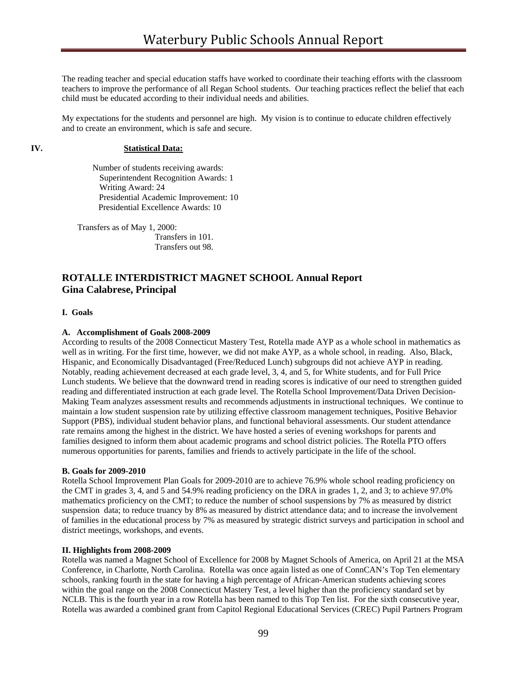The reading teacher and special education staffs have worked to coordinate their teaching efforts with the classroom teachers to improve the performance of all Regan School students. Our teaching practices reflect the belief that each child must be educated according to their individual needs and abilities.

My expectations for the students and personnel are high. My vision is to continue to educate children effectively and to create an environment, which is safe and secure.

#### **IV. Statistical Data:**

 Number of students receiving awards: Superintendent Recognition Awards: 1 Writing Award: 24 Presidential Academic Improvement: 10 Presidential Excellence Awards: 10

Transfers as of May 1, 2000: Transfers in 101. Transfers out 98.

# **ROTALLE INTERDISTRICT MAGNET SCHOOL Annual Report Gina Calabrese, Principal**

#### **I. Goals**

#### **A. Accomplishment of Goals 2008-2009**

According to results of the 2008 Connecticut Mastery Test, Rotella made AYP as a whole school in mathematics as well as in writing. For the first time, however, we did not make AYP, as a whole school, in reading. Also, Black, Hispanic, and Economically Disadvantaged (Free/Reduced Lunch) subgroups did not achieve AYP in reading. Notably, reading achievement decreased at each grade level, 3, 4, and 5, for White students, and for Full Price Lunch students. We believe that the downward trend in reading scores is indicative of our need to strengthen guided reading and differentiated instruction at each grade level. The Rotella School Improvement/Data Driven Decision-Making Team analyzes assessment results and recommends adjustments in instructional techniques. We continue to maintain a low student suspension rate by utilizing effective classroom management techniques, Positive Behavior Support (PBS), individual student behavior plans, and functional behavioral assessments. Our student attendance rate remains among the highest in the district. We have hosted a series of evening workshops for parents and families designed to inform them about academic programs and school district policies. The Rotella PTO offers numerous opportunities for parents, families and friends to actively participate in the life of the school.

#### **B. Goals for 2009-2010**

Rotella School Improvement Plan Goals for 2009-2010 are to achieve 76.9% whole school reading proficiency on the CMT in grades 3, 4, and 5 and 54.9% reading proficiency on the DRA in grades 1, 2, and 3; to achieve 97.0% mathematics proficiency on the CMT; to reduce the number of school suspensions by 7% as measured by district suspension data; to reduce truancy by 8% as measured by district attendance data; and to increase the involvement of families in the educational process by 7% as measured by strategic district surveys and participation in school and district meetings, workshops, and events.

#### **II. Highlights from 2008-2009**

Rotella was named a Magnet School of Excellence for 2008 by Magnet Schools of America, on April 21 at the MSA Conference, in Charlotte, North Carolina. Rotella was once again listed as one of ConnCAN's Top Ten elementary schools, ranking fourth in the state for having a high percentage of African-American students achieving scores within the goal range on the 2008 Connecticut Mastery Test, a level higher than the proficiency standard set by NCLB. This is the fourth year in a row Rotella has been named to this Top Ten list. For the sixth consecutive year, Rotella was awarded a combined grant from Capitol Regional Educational Services (CREC) Pupil Partners Program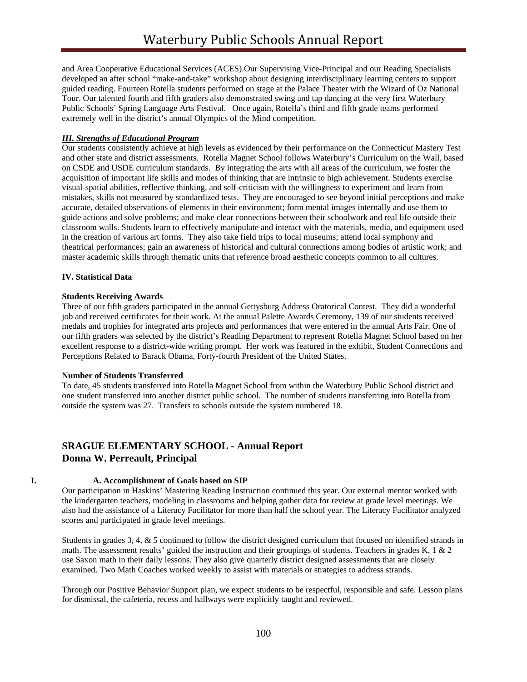and Area Cooperative Educational Services (ACES).Our Supervising Vice-Principal and our Reading Specialists developed an after school "make-and-take" workshop about designing interdisciplinary learning centers to support guided reading. Fourteen Rotella students performed on stage at the Palace Theater with the Wizard of Oz National Tour. Our talented fourth and fifth graders also demonstrated swing and tap dancing at the very first Waterbury Public Schools' Spring Language Arts Festival.Once again, Rotella's third and fifth grade teams performed extremely well in the district's annual Olympics of the Mind competition.

## *III. Strengths of Educational Program*

Our students consistently achieve at high levels as evidenced by their performance on the Connecticut Mastery Test and other state and district assessments. Rotella Magnet School follows Waterbury's Curriculum on the Wall, based on CSDE and USDE curriculum standards. By integrating the arts with all areas of the curriculum, we foster the acquisition of important life skills and modes of thinking that are intrinsic to high achievement. Students exercise visual-spatial abilities, reflective thinking, and self-criticism with the willingness to experiment and learn from mistakes, skills not measured by standardized tests. They are encouraged to see beyond initial perceptions and make accurate, detailed observations of elements in their environment; form mental images internally and use them to guide actions and solve problems; and make clear connections between their schoolwork and real life outside their classroom walls. Students learn to effectively manipulate and interact with the materials, media, and equipment used in the creation of various art forms. They also take field trips to local museums; attend local symphony and theatrical performances; gain an awareness of historical and cultural connections among bodies of artistic work; and master academic skills through thematic units that reference broad aesthetic concepts common to all cultures.

#### **IV. Statistical Data**

#### **Students Receiving Awards**

Three of our fifth graders participated in the annual Gettysburg Address Oratorical Contest. They did a wonderful job and received certificates for their work. At the annual Palette Awards Ceremony, 139 of our students received medals and trophies for integrated arts projects and performances that were entered in the annual Arts Fair. One of our fifth graders was selected by the district's Reading Department to represent Rotella Magnet School based on her excellent response to a district-wide writing prompt. Her work was featured in the exhibit, Student Connections and Perceptions Related to Barack Obama, Forty-fourth President of the United States.

#### **Number of Students Transferred**

To date, 45 students transferred into Rotella Magnet School from within the Waterbury Public School district and one student transferred into another district public school. The number of students transferring into Rotella from outside the system was 27. Transfers to schools outside the system numbered 18.

# **SRAGUE ELEMENTARY SCHOOL - Annual Report Donna W. Perreault, Principal**

#### **I. A. Accomplishment of Goals based on SIP**

Our participation in Haskins' Mastering Reading Instruction continued this year. Our external mentor worked with the kindergarten teachers, modeling in classrooms and helping gather data for review at grade level meetings. We also had the assistance of a Literacy Facilitator for more than half the school year. The Literacy Facilitator analyzed scores and participated in grade level meetings.

Students in grades 3, 4, & 5 continued to follow the district designed curriculum that focused on identified strands in math. The assessment results' guided the instruction and their groupings of students. Teachers in grades K,  $1 \& 2$ use Saxon math in their daily lessons. They also give quarterly district designed assessments that are closely examined. Two Math Coaches worked weekly to assist with materials or strategies to address strands.

Through our Positive Behavior Support plan, we expect students to be respectful, responsible and safe. Lesson plans for dismissal, the cafeteria, recess and hallways were explicitly taught and reviewed.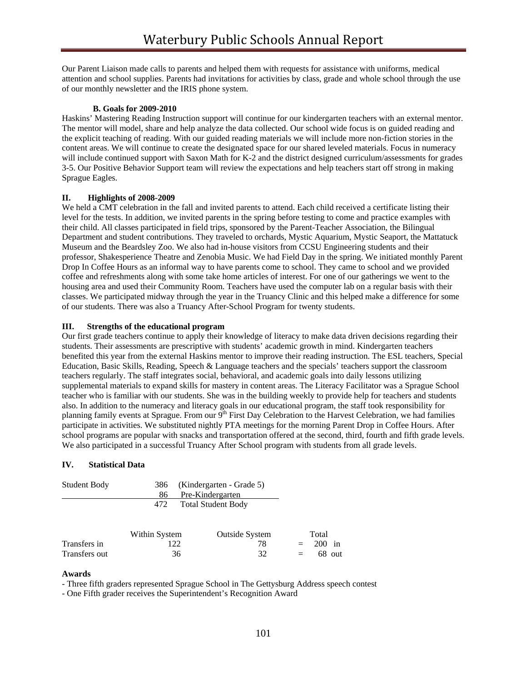Our Parent Liaison made calls to parents and helped them with requests for assistance with uniforms, medical attention and school supplies. Parents had invitations for activities by class, grade and whole school through the use of our monthly newsletter and the IRIS phone system.

## **B. Goals for 2009-2010**

Haskins' Mastering Reading Instruction support will continue for our kindergarten teachers with an external mentor. The mentor will model, share and help analyze the data collected. Our school wide focus is on guided reading and the explicit teaching of reading. With our guided reading materials we will include more non-fiction stories in the content areas. We will continue to create the designated space for our shared leveled materials. Focus in numeracy will include continued support with Saxon Math for K-2 and the district designed curriculum/assessments for grades 3-5. Our Positive Behavior Support team will review the expectations and help teachers start off strong in making Sprague Eagles.

## **II. Highlights of 2008-2009**

We held a CMT celebration in the fall and invited parents to attend. Each child received a certificate listing their level for the tests. In addition, we invited parents in the spring before testing to come and practice examples with their child. All classes participated in field trips, sponsored by the Parent-Teacher Association, the Bilingual Department and student contributions. They traveled to orchards, Mystic Aquarium, Mystic Seaport, the Mattatuck Museum and the Beardsley Zoo. We also had in-house visitors from CCSU Engineering students and their professor, Shakesperience Theatre and Zenobia Music. We had Field Day in the spring. We initiated monthly Parent Drop In Coffee Hours as an informal way to have parents come to school. They came to school and we provided coffee and refreshments along with some take home articles of interest. For one of our gatherings we went to the housing area and used their Community Room. Teachers have used the computer lab on a regular basis with their classes. We participated midway through the year in the Truancy Clinic and this helped make a difference for some of our students. There was also a Truancy After-School Program for twenty students.

## **III. Strengths of the educational program**

Our first grade teachers continue to apply their knowledge of literacy to make data driven decisions regarding their students. Their assessments are prescriptive with students' academic growth in mind. Kindergarten teachers benefited this year from the external Haskins mentor to improve their reading instruction. The ESL teachers, Special Education, Basic Skills, Reading, Speech & Language teachers and the specials' teachers support the classroom teachers regularly. The staff integrates social, behavioral, and academic goals into daily lessons utilizing supplemental materials to expand skills for mastery in content areas. The Literacy Facilitator was a Sprague School teacher who is familiar with our students. She was in the building weekly to provide help for teachers and students also. In addition to the numeracy and literacy goals in our educational program, the staff took responsibility for planning family events at Sprague. From our 9<sup>th</sup> First Day Celebration to the Harvest Celebration, we had families participate in activities. We substituted nightly PTA meetings for the morning Parent Drop in Coffee Hours. After school programs are popular with snacks and transportation offered at the second, third, fourth and fifth grade levels. We also participated in a successful Truancy After School program with students from all grade levels.

# **IV. Statistical Data**

| <b>Student Body</b> | 386<br>86     | (Kindergarten - Grade 5)<br>Pre-Kindergarten |     |                             |
|---------------------|---------------|----------------------------------------------|-----|-----------------------------|
|                     | 472           | <b>Total Student Body</b>                    |     |                             |
|                     | Within System | <b>Outside System</b>                        |     | Total                       |
| Transfers in        | 122           | 78                                           | $=$ | <b>200</b><br>$\mathbf{in}$ |
| Transfers out       | 36            | 32                                           | $=$ | 68 out                      |

#### **Awards**

- Three fifth graders represented Sprague School in The Gettysburg Address speech contest

- One Fifth grader receives the Superintendent's Recognition Award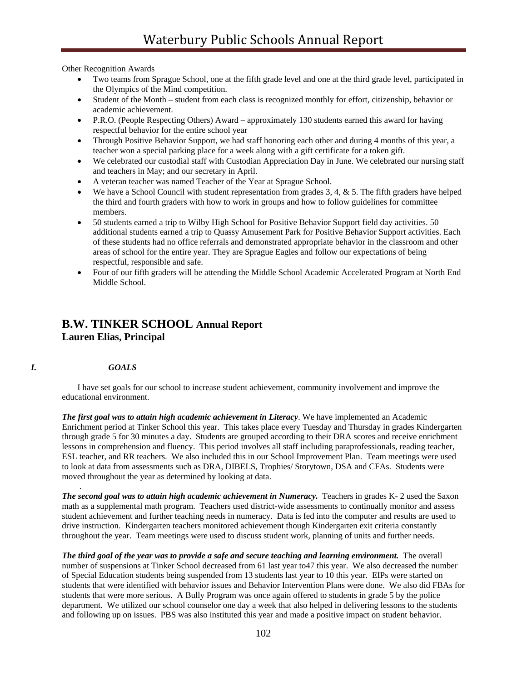Other Recognition Awards

- Two teams from Sprague School, one at the fifth grade level and one at the third grade level, participated in the Olympics of the Mind competition.
- Student of the Month student from each class is recognized monthly for effort, citizenship, behavior or academic achievement.
- P.R.O. (People Respecting Others) Award approximately 130 students earned this award for having respectful behavior for the entire school year
- Through Positive Behavior Support, we had staff honoring each other and during 4 months of this year, a teacher won a special parking place for a week along with a gift certificate for a token gift.
- We celebrated our custodial staff with Custodian Appreciation Day in June. We celebrated our nursing staff and teachers in May; and our secretary in April.
- A veteran teacher was named Teacher of the Year at Sprague School.
- We have a School Council with student representation from grades  $3, 4, \& 5$ . The fifth graders have helped the third and fourth graders with how to work in groups and how to follow guidelines for committee members.
- 50 students earned a trip to Wilby High School for Positive Behavior Support field day activities. 50 additional students earned a trip to Quassy Amusement Park for Positive Behavior Support activities. Each of these students had no office referrals and demonstrated appropriate behavior in the classroom and other areas of school for the entire year. They are Sprague Eagles and follow our expectations of being respectful, responsible and safe.
- Four of our fifth graders will be attending the Middle School Academic Accelerated Program at North End Middle School.

# **B.W. TINKER SCHOOL Annual Report Lauren Elias, Principal**

#### *I. GOALS*

.

I have set goals for our school to increase student achievement, community involvement and improve the educational environment.

*The first goal was to attain high academic achievement in Literacy*. We have implemented an Academic Enrichment period at Tinker School this year. This takes place every Tuesday and Thursday in grades Kindergarten through grade 5 for 30 minutes a day. Students are grouped according to their DRA scores and receive enrichment lessons in comprehension and fluency. This period involves all staff including paraprofessionals, reading teacher, ESL teacher, and RR teachers. We also included this in our School Improvement Plan. Team meetings were used to look at data from assessments such as DRA, DIBELS, Trophies/ Storytown, DSA and CFAs. Students were moved throughout the year as determined by looking at data.

*The second goal was to attain high academic achievement in Numeracy.* Teachers in grades K- 2 used the Saxon math as a supplemental math program. Teachers used district-wide assessments to continually monitor and assess student achievement and further teaching needs in numeracy. Data is fed into the computer and results are used to drive instruction. Kindergarten teachers monitored achievement though Kindergarten exit criteria constantly throughout the year. Team meetings were used to discuss student work, planning of units and further needs.

The third goal of the year was to provide a safe and secure teaching and learning environment. The overall number of suspensions at Tinker School decreased from 61 last year to47 this year. We also decreased the number of Special Education students being suspended from 13 students last year to 10 this year. EIPs were started on students that were identified with behavior issues and Behavior Intervention Plans were done. We also did FBAs for students that were more serious. A Bully Program was once again offered to students in grade 5 by the police department. We utilized our school counselor one day a week that also helped in delivering lessons to the students and following up on issues. PBS was also instituted this year and made a positive impact on student behavior.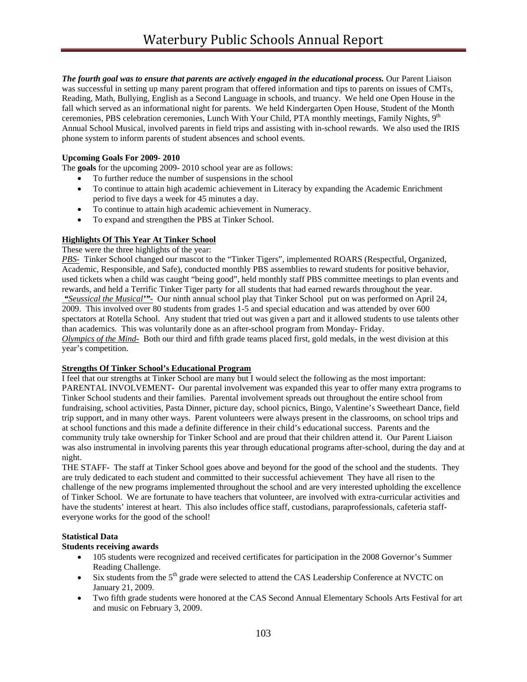*The fourth goal was to ensure that parents are actively engaged in the educational process.* Our Parent Liaison was successful in setting up many parent program that offered information and tips to parents on issues of CMTs, Reading, Math, Bullying, English as a Second Language in schools, and truancy. We held one Open House in the fall which served as an informational night for parents. We held Kindergarten Open House, Student of the Month ceremonies, PBS celebration ceremonies, Lunch With Your Child, PTA monthly meetings, Family Nights, 9<sup>th</sup> Annual School Musical, involved parents in field trips and assisting with in-school rewards. We also used the IRIS phone system to inform parents of student absences and school events.

# **Upcoming Goals For 2009- 2010**

The **goals** for the upcoming 2009- 2010 school year are as follows:

- To further reduce the number of suspensions in the school
- To continue to attain high academic achievement in Literacy by expanding the Academic Enrichment period to five days a week for 45 minutes a day.
- To continue to attain high academic achievement in Numeracy.
- To expand and strengthen the PBS at Tinker School.

## **Highlights Of This Year At Tinker School**

These were the three highlights of the year:

*PBS-* Tinker School changed our mascot to the "Tinker Tigers", implemented ROARS (Respectful, Organized, Academic, Responsible, and Safe), conducted monthly PBS assemblies to reward students for positive behavior, used tickets when a child was caught "being good", held monthly staff PBS committee meetings to plan events and rewards, and held a Terrific Tinker Tiger party for all students that had earned rewards throughout the year.  *"Seussical the Musical'"-* Our ninth annual school play that Tinker School put on was performed on April 24, 2009. This involved over 80 students from grades 1-5 and special education and was attended by over 600 spectators at Rotella School. Any student that tried out was given a part and it allowed students to use talents other than academics. This was voluntarily done as an after-school program from Monday- Friday. *Olympics of the Mind-* Both our third and fifth grade teams placed first, gold medals, in the west division at this year's competition.

# **Strengths Of Tinker School's Educational Program**

I feel that our strengths at Tinker School are many but I would select the following as the most important: PARENTAL INVOLVEMENT**-** Our parental involvement was expanded this year to offer many extra programs to Tinker School students and their families. Parental involvement spreads out throughout the entire school from fundraising, school activities, Pasta Dinner, picture day, school picnics, Bingo, Valentine's Sweetheart Dance, field trip support, and in many other ways. Parent volunteers were always present in the classrooms, on school trips and at school functions and this made a definite difference in their child's educational success. Parents and the community truly take ownership for Tinker School and are proud that their children attend it. Our Parent Liaison was also instrumental in involving parents this year through educational programs after-school, during the day and at night.

THE STAFF**-** The staff at Tinker School goes above and beyond for the good of the school and the students. They are truly dedicated to each student and committed to their successful achievement They have all risen to the challenge of the new programs implemented throughout the school and are very interested upholding the excellence of Tinker School. We are fortunate to have teachers that volunteer, are involved with extra-curricular activities and have the students' interest at heart. This also includes office staff, custodians, paraprofessionals, cafeteria staffeveryone works for the good of the school!

#### **Statistical Data**

## **Students receiving awards**

- 105 students were recognized and received certificates for participation in the 2008 Governor's Summer Reading Challenge.
- Six students from the  $5<sup>th</sup>$  grade were selected to attend the CAS Leadership Conference at NVCTC on January 21, 2009.
- Two fifth grade students were honored at the CAS Second Annual Elementary Schools Arts Festival for art and music on February 3, 2009.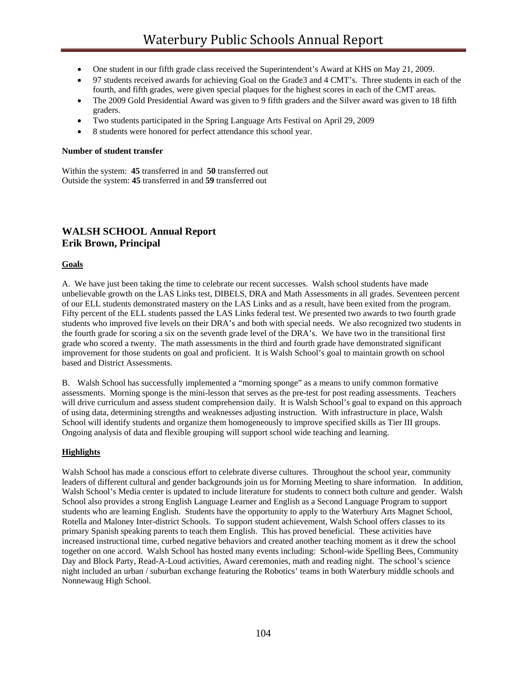- One student in our fifth grade class received the Superintendent's Award at KHS on May 21, 2009.
- 97 students received awards for achieving Goal on the Grade3 and 4 CMT's. Three students in each of the fourth, and fifth grades, were given special plaques for the highest scores in each of the CMT areas.
- The 2009 Gold Presidential Award was given to 9 fifth graders and the Silver award was given to 18 fifth graders.
- Two students participated in the Spring Language Arts Festival on April 29, 2009
- 8 students were honored for perfect attendance this school year.

#### **Number of student transfer**

Within the system: **45** transferred in and **50** transferred out Outside the system: **45** transferred in and **59** transferred out

# **WALSH SCHOOL Annual Report Erik Brown, Principal**

#### **Goals**

A. We have just been taking the time to celebrate our recent successes. Walsh school students have made unbelievable growth on the LAS Links test, DIBELS, DRA and Math Assessments in all grades. Seventeen percent of our ELL students demonstrated mastery on the LAS Links and as a result, have been exited from the program. Fifty percent of the ELL students passed the LAS Links federal test. We presented two awards to two fourth grade students who improved five levels on their DRA's and both with special needs. We also recognized two students in the fourth grade for scoring a six on the seventh grade level of the DRA's. We have two in the transitional first grade who scored a twenty. The math assessments in the third and fourth grade have demonstrated significant improvement for those students on goal and proficient. It is Walsh School's goal to maintain growth on school based and District Assessments.

B. Walsh School has successfully implemented a "morning sponge" as a means to unify common formative assessments. Morning sponge is the mini-lesson that serves as the pre-test for post reading assessments. Teachers will drive curriculum and assess student comprehension daily. It is Walsh School's goal to expand on this approach of using data, determining strengths and weaknesses adjusting instruction. With infrastructure in place, Walsh School will identify students and organize them homogeneously to improve specified skills as Tier III groups. Ongoing analysis of data and flexible grouping will support school wide teaching and learning.

#### **Highlights**

Walsh School has made a conscious effort to celebrate diverse cultures. Throughout the school year, community leaders of different cultural and gender backgrounds join us for Morning Meeting to share information. In addition, Walsh School's Media center is updated to include literature for students to connect both culture and gender. Walsh School also provides a strong English Language Learner and English as a Second Language Program to support students who are learning English. Students have the opportunity to apply to the Waterbury Arts Magnet School, Rotella and Maloney Inter-district Schools. To support student achievement, Walsh School offers classes to its primary Spanish speaking parents to teach them English. This has proved beneficial. These activities have increased instructional time, curbed negative behaviors and created another teaching moment as it drew the school together on one accord. Walsh School has hosted many events including: School-wide Spelling Bees, Community Day and Block Party, Read-A-Loud activities, Award ceremonies, math and reading night. The school's science night included an urban / suburban exchange featuring the Robotics' teams in both Waterbury middle schools and Nonnewaug High School.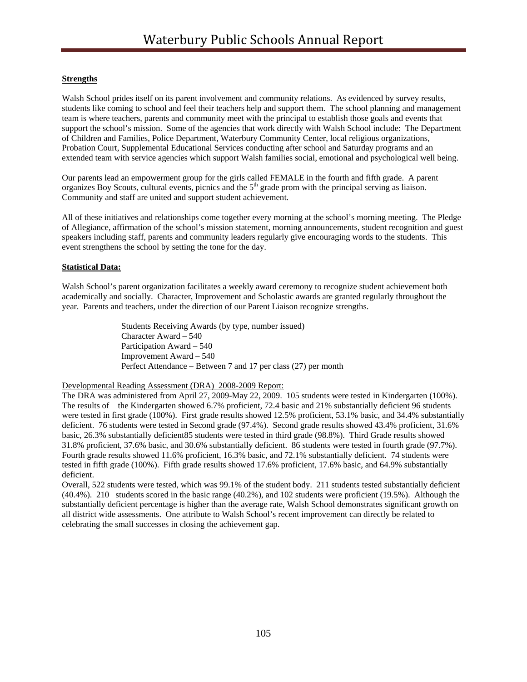# **Strengths**

Walsh School prides itself on its parent involvement and community relations. As evidenced by survey results, students like coming to school and feel their teachers help and support them. The school planning and management team is where teachers, parents and community meet with the principal to establish those goals and events that support the school's mission. Some of the agencies that work directly with Walsh School include: The Department of Children and Families, Police Department, Waterbury Community Center, local religious organizations, Probation Court, Supplemental Educational Services conducting after school and Saturday programs and an extended team with service agencies which support Walsh families social, emotional and psychological well being.

Our parents lead an empowerment group for the girls called FEMALE in the fourth and fifth grade. A parent organizes Boy Scouts, cultural events, picnics and the 5<sup>th</sup> grade prom with the principal serving as liaison. Community and staff are united and support student achievement.

All of these initiatives and relationships come together every morning at the school's morning meeting. The Pledge of Allegiance, affirmation of the school's mission statement, morning announcements, student recognition and guest speakers including staff, parents and community leaders regularly give encouraging words to the students. This event strengthens the school by setting the tone for the day.

## **Statistical Data:**

Walsh School's parent organization facilitates a weekly award ceremony to recognize student achievement both academically and socially. Character, Improvement and Scholastic awards are granted regularly throughout the year. Parents and teachers, under the direction of our Parent Liaison recognize strengths.

> Students Receiving Awards (by type, number issued) Character Award – 540 Participation Award – 540 Improvement Award – 540 Perfect Attendance – Between 7 and 17 per class (27) per month

Developmental Reading Assessment (DRA) 2008-2009 Report:

The DRA was administered from April 27, 2009-May 22, 2009. 105 students were tested in Kindergarten (100%). The results of the Kindergarten showed 6.7% proficient, 72.4 basic and 21% substantially deficient 96 students were tested in first grade (100%). First grade results showed 12.5% proficient, 53.1% basic, and 34.4% substantially deficient. 76 students were tested in Second grade (97.4%). Second grade results showed 43.4% proficient, 31.6% basic, 26.3% substantially deficient85 students were tested in third grade (98.8%). Third Grade results showed 31.8% proficient, 37.6% basic, and 30.6% substantially deficient. 86 students were tested in fourth grade (97.7%). Fourth grade results showed 11.6% proficient, 16.3% basic, and 72.1% substantially deficient. 74 students were tested in fifth grade (100%). Fifth grade results showed 17.6% proficient, 17.6% basic, and 64.9% substantially deficient.

Overall, 522 students were tested, which was 99.1% of the student body. 211 students tested substantially deficient (40.4%). 210 students scored in the basic range (40.2%), and 102 students were proficient (19.5%). Although the substantially deficient percentage is higher than the average rate, Walsh School demonstrates significant growth on all district wide assessments. One attribute to Walsh School's recent improvement can directly be related to celebrating the small successes in closing the achievement gap.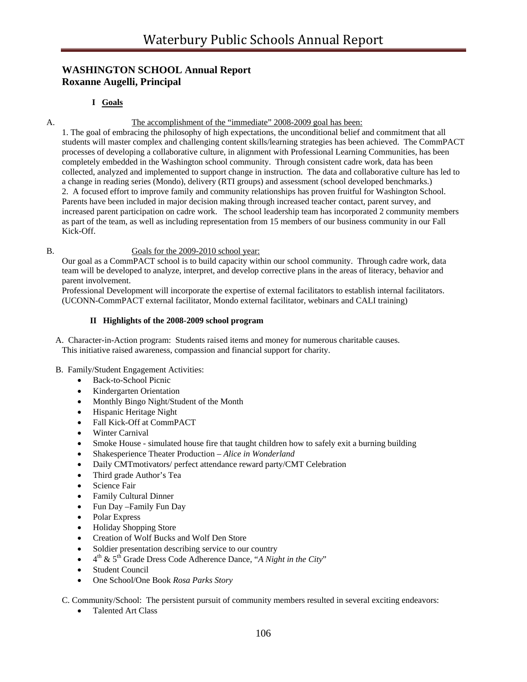# **WASHINGTON SCHOOL Annual Report Roxanne Augelli, Principal**

# **I Goals**

## A. The accomplishment of the "immediate" 2008-2009 goal has been:

1. The goal of embracing the philosophy of high expectations, the unconditional belief and commitment that all students will master complex and challenging content skills/learning strategies has been achieved. The CommPACT processes of developing a collaborative culture, in alignment with Professional Learning Communities, has been completely embedded in the Washington school community. Through consistent cadre work, data has been collected, analyzed and implemented to support change in instruction. The data and collaborative culture has led to a change in reading series (Mondo), delivery (RTI groups) and assessment (school developed benchmarks.) 2. A focused effort to improve family and community relationships has proven fruitful for Washington School. Parents have been included in major decision making through increased teacher contact, parent survey, and increased parent participation on cadre work. The school leadership team has incorporated 2 community members as part of the team, as well as including representation from 15 members of our business community in our Fall Kick-Off.

## B. Goals for the 2009-2010 school year:

Our goal as a CommPACT school is to build capacity within our school community. Through cadre work, data team will be developed to analyze, interpret, and develop corrective plans in the areas of literacy, behavior and parent involvement.

Professional Development will incorporate the expertise of external facilitators to establish internal facilitators. (UCONN-CommPACT external facilitator, Mondo external facilitator, webinars and CALI training)

## **II Highlights of the 2008-2009 school program**

 A. Character-in-Action program: Students raised items and money for numerous charitable causes. This initiative raised awareness, compassion and financial support for charity.

# B. Family/Student Engagement Activities:

- Back-to-School Picnic
- Kindergarten Orientation
- Monthly Bingo Night/Student of the Month
- Hispanic Heritage Night
- Fall Kick-Off at CommPACT
- Winter Carnival
- Smoke House simulated house fire that taught children how to safely exit a burning building
- Shakesperience Theater Production *Alice in Wonderland*
- Daily CMTmotivators/ perfect attendance reward party/CMT Celebration
- Third grade Author's Tea
- Science Fair
- Family Cultural Dinner
- Fun Day Family Fun Day
- Polar Express
- Holiday Shopping Store
- Creation of Wolf Bucks and Wolf Den Store
- Soldier presentation describing service to our country
- $4^{\text{th}}$  &  $5^{\text{th}}$  Grade Dress Code Adherence Dance, "*A Night in the City*"
- Student Council
- One School/One Book *Rosa Parks Story*

C. Community/School: The persistent pursuit of community members resulted in several exciting endeavors:

• Talented Art Class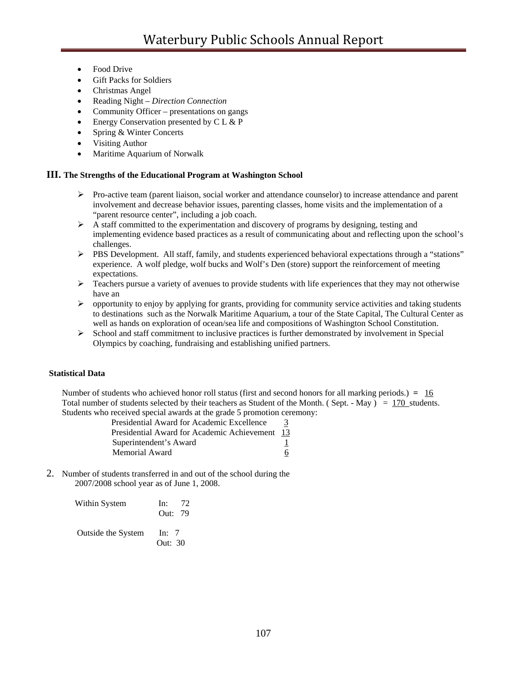- Food Drive
- Gift Packs for Soldiers
- Christmas Angel
- Reading Night *Direction Connection*
- Community Officer presentations on gangs
- Energy Conservation presented by C L & P
- Spring & Winter Concerts
- Visiting Author
- Maritime Aquarium of Norwalk

### **III. The Strengths of the Educational Program at Washington School**

- ¾ Pro-active team (parent liaison, social worker and attendance counselor) to increase attendance and parent involvement and decrease behavior issues, parenting classes, home visits and the implementation of a "parent resource center", including a job coach.
- $\triangleright$  A staff committed to the experimentation and discovery of programs by designing, testing and implementing evidence based practices as a result of communicating about and reflecting upon the school's challenges.
- $\triangleright$  PBS Development. All staff, family, and students experienced behavioral expectations through a "stations" experience. A wolf pledge, wolf bucks and Wolf's Den (store) support the reinforcement of meeting expectations.
- ¾ Teachers pursue a variety of avenues to provide students with life experiences that they may not otherwise have an
- $\triangleright$  opportunity to enjoy by applying for grants, providing for community service activities and taking students to destinations such as the Norwalk Maritime Aquarium, a tour of the State Capital, The Cultural Center as well as hands on exploration of ocean/sea life and compositions of Washington School Constitution.
- $\triangleright$  School and staff commitment to inclusive practices is further demonstrated by involvement in Special Olympics by coaching, fundraising and establishing unified partners.

#### **Statistical Data**

Number of students who achieved honor roll status (first and second honors for all marking periods.) **=** 16 Total number of students selected by their teachers as Student of the Month. (Sept. - May) =  $170$  students. Students who received special awards at the grade 5 promotion ceremony:

> Presidential Award for Academic Excellence Presidential Award for Academic Achievement 13 Superintendent's Award 1 Memorial Award 6

2. Number of students transferred in and out of the school during the 2007/2008 school year as of June 1, 2008.

| Within System      | - 72<br>In:<br>Out: 79 |
|--------------------|------------------------|
| Outside the System | In: $7$<br>Out: $30$   |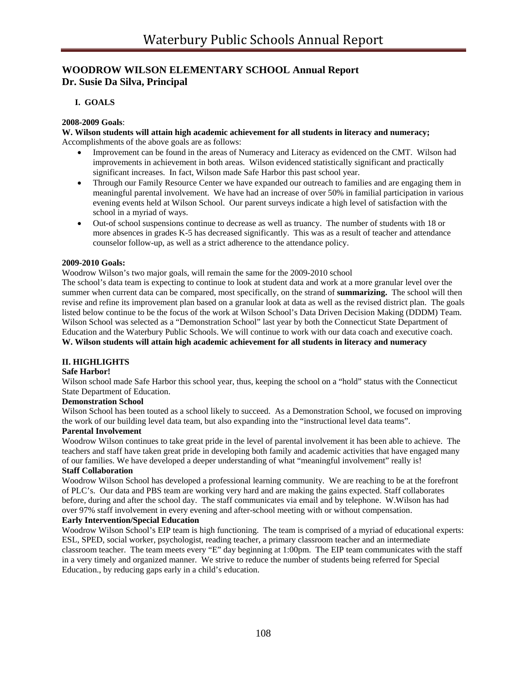# **WOODROW WILSON ELEMENTARY SCHOOL Annual Report Dr. Susie Da Silva, Principal**

# **I. GOALS**

#### **2008-2009 Goals**:

**W. Wilson students will attain high academic achievement for all students in literacy and numeracy;**  Accomplishments of the above goals are as follows:

- Improvement can be found in the areas of Numeracy and Literacy as evidenced on the CMT. Wilson had improvements in achievement in both areas. Wilson evidenced statistically significant and practically significant increases. In fact, Wilson made Safe Harbor this past school year.
- Through our Family Resource Center we have expanded our outreach to families and are engaging them in meaningful parental involvement. We have had an increase of over 50% in familial participation in various evening events held at Wilson School. Our parent surveys indicate a high level of satisfaction with the school in a myriad of ways.
- Out-of school suspensions continue to decrease as well as truancy. The number of students with 18 or more absences in grades K-5 has decreased significantly. This was as a result of teacher and attendance counselor follow-up, as well as a strict adherence to the attendance policy.

#### **2009-2010 Goals:**

Woodrow Wilson's two major goals, will remain the same for the 2009-2010 school

The school's data team is expecting to continue to look at student data and work at a more granular level over the summer when current data can be compared, most specifically, on the strand of **summarizing.** The school will then revise and refine its improvement plan based on a granular look at data as well as the revised district plan. The goals listed below continue to be the focus of the work at Wilson School's Data Driven Decision Making (DDDM) Team. Wilson School was selected as a "Demonstration School" last year by both the Connecticut State Department of Education and the Waterbury Public Schools. We will continue to work with our data coach and executive coach. **W. Wilson students will attain high academic achievement for all students in literacy and numeracy**

#### **II. HIGHLIGHTS**

# **Safe Harbor!**

Wilson school made Safe Harbor this school year, thus, keeping the school on a "hold" status with the Connecticut State Department of Education.

#### **Demonstration School**

Wilson School has been touted as a school likely to succeed. As a Demonstration School, we focused on improving the work of our building level data team, but also expanding into the "instructional level data teams".

#### **Parental Involvement**

Woodrow Wilson continues to take great pride in the level of parental involvement it has been able to achieve. The teachers and staff have taken great pride in developing both family and academic activities that have engaged many of our families. We have developed a deeper understanding of what "meaningful involvement" really is! **Staff Collaboration** 

Woodrow Wilson School has developed a professional learning community. We are reaching to be at the forefront of PLC's. Our data and PBS team are working very hard and are making the gains expected. Staff collaborates before, during and after the school day. The staff communicates via email and by telephone. W.Wilson has had over 97% staff involvement in every evening and after-school meeting with or without compensation.

### **Early Intervention/Special Education**

Woodrow Wilson School's EIP team is high functioning. The team is comprised of a myriad of educational experts: ESL, SPED, social worker, psychologist, reading teacher, a primary classroom teacher and an intermediate classroom teacher. The team meets every "E" day beginning at 1:00pm. The EIP team communicates with the staff in a very timely and organized manner. We strive to reduce the number of students being referred for Special Education., by reducing gaps early in a child's education.